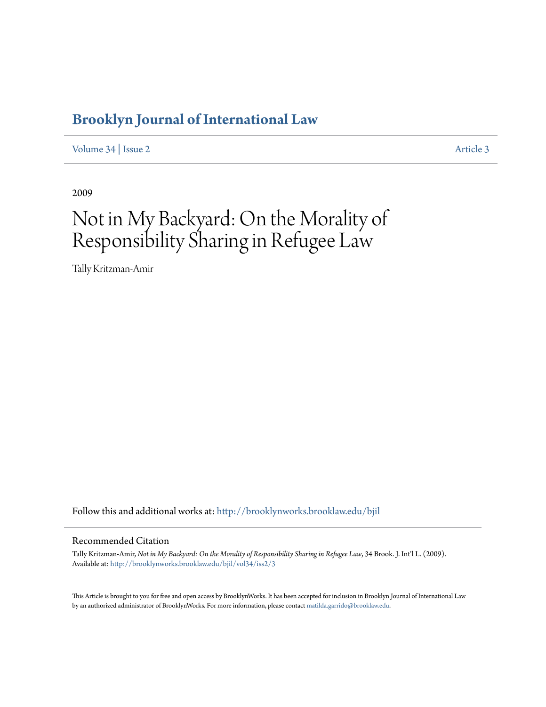# **[Brooklyn Journal of International Law](http://brooklynworks.brooklaw.edu/bjil?utm_source=brooklynworks.brooklaw.edu%2Fbjil%2Fvol34%2Fiss2%2F3&utm_medium=PDF&utm_campaign=PDFCoverPages)**

[Volume 34](http://brooklynworks.brooklaw.edu/bjil/vol34?utm_source=brooklynworks.brooklaw.edu%2Fbjil%2Fvol34%2Fiss2%2F3&utm_medium=PDF&utm_campaign=PDFCoverPages) | [Issue 2](http://brooklynworks.brooklaw.edu/bjil/vol34/iss2?utm_source=brooklynworks.brooklaw.edu%2Fbjil%2Fvol34%2Fiss2%2F3&utm_medium=PDF&utm_campaign=PDFCoverPages) [Article 3](http://brooklynworks.brooklaw.edu/bjil/vol34/iss2/3?utm_source=brooklynworks.brooklaw.edu%2Fbjil%2Fvol34%2Fiss2%2F3&utm_medium=PDF&utm_campaign=PDFCoverPages)

2009

# Not in My Backyard: On the Morality of Responsibility Sharing in Refugee Law

Tally Kritzman-Amir

Follow this and additional works at: [http://brooklynworks.brooklaw.edu/bjil](http://brooklynworks.brooklaw.edu/bjil?utm_source=brooklynworks.brooklaw.edu%2Fbjil%2Fvol34%2Fiss2%2F3&utm_medium=PDF&utm_campaign=PDFCoverPages)

## Recommended Citation

Tally Kritzman-Amir, *Not in My Backyard: On the Morality of Responsibility Sharing in Refugee Law*, 34 Brook. J. Int'l L. (2009). Available at: [http://brooklynworks.brooklaw.edu/bjil/vol34/iss2/3](http://brooklynworks.brooklaw.edu/bjil/vol34/iss2/3?utm_source=brooklynworks.brooklaw.edu%2Fbjil%2Fvol34%2Fiss2%2F3&utm_medium=PDF&utm_campaign=PDFCoverPages)

This Article is brought to you for free and open access by BrooklynWorks. It has been accepted for inclusion in Brooklyn Journal of International Law by an authorized administrator of BrooklynWorks. For more information, please contact [matilda.garrido@brooklaw.edu.](mailto:matilda.garrido@brooklaw.edu)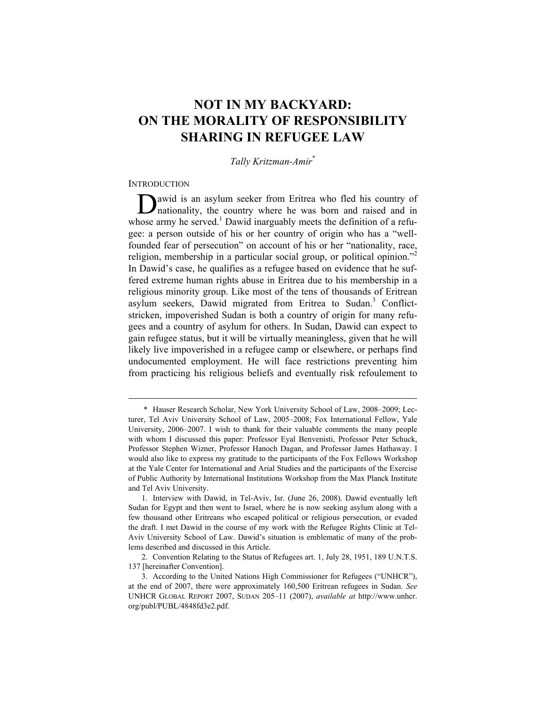# **NOT IN MY BACKYARD: ON THE MORALITY OF RESPONSIBILITY SHARING IN REFUGEE LAW**

# *Tally Kritzman-Amir*\*

#### **INTRODUCTION**

 $\overline{a}$ 

awid is an asylum seeker from Eritrea who fled his country of **D**awid is an asylum seeker from Eritrea who fled his country of nationality, the country where he was born and raised and in whose army he served.<sup>1</sup> Dawid inarguably meets the definition of a refugee: a person outside of his or her country of origin who has a "wellfounded fear of persecution" on account of his or her "nationality, race, religion, membership in a particular social group, or political opinion."<sup>2</sup> In Dawid's case, he qualifies as a refugee based on evidence that he suffered extreme human rights abuse in Eritrea due to his membership in a religious minority group. Like most of the tens of thousands of Eritrean asylum seekers, Dawid migrated from Eritrea to Sudan.<sup>3</sup> Conflictstricken, impoverished Sudan is both a country of origin for many refugees and a country of asylum for others. In Sudan, Dawid can expect to gain refugee status, but it will be virtually meaningless, given that he will likely live impoverished in a refugee camp or elsewhere, or perhaps find undocumented employment. He will face restrictions preventing him from practicing his religious beliefs and eventually risk refoulement to

 <sup>\*</sup> Hauser Research Scholar, New York University School of Law, 2008–2009; Lecturer, Tel Aviv University School of Law, 2005–2008; Fox International Fellow, Yale University, 2006–2007. I wish to thank for their valuable comments the many people with whom I discussed this paper: Professor Eyal Benvenisti, Professor Peter Schuck, Professor Stephen Wizner, Professor Hanoch Dagan, and Professor James Hathaway. I would also like to express my gratitude to the participants of the Fox Fellows Workshop at the Yale Center for International and Arial Studies and the participants of the Exercise of Public Authority by International Institutions Workshop from the Max Planck Institute and Tel Aviv University.

 <sup>1.</sup> Interview with Dawid, in Tel-Aviv, Isr. (June 26, 2008). Dawid eventually left Sudan for Egypt and then went to Israel, where he is now seeking asylum along with a few thousand other Eritreans who escaped political or religious persecution, or evaded the draft. I met Dawid in the course of my work with the Refugee Rights Clinic at Tel-Aviv University School of Law. Dawid's situation is emblematic of many of the problems described and discussed in this Article.

 <sup>2.</sup> Convention Relating to the Status of Refugees art. 1, July 28, 1951, 189 U.N.T.S. 137 [hereinafter Convention].

 <sup>3.</sup> According to the United Nations High Commissioner for Refugees ("UNHCR"), at the end of 2007, there were approximately 160,500 Eritrean refugees in Sudan. *See*  UNHCR GLOBAL REPORT 2007, SUDAN 205–11 (2007), *available at* http://www.unhcr. org/publ/PUBL/4848fd3e2.pdf.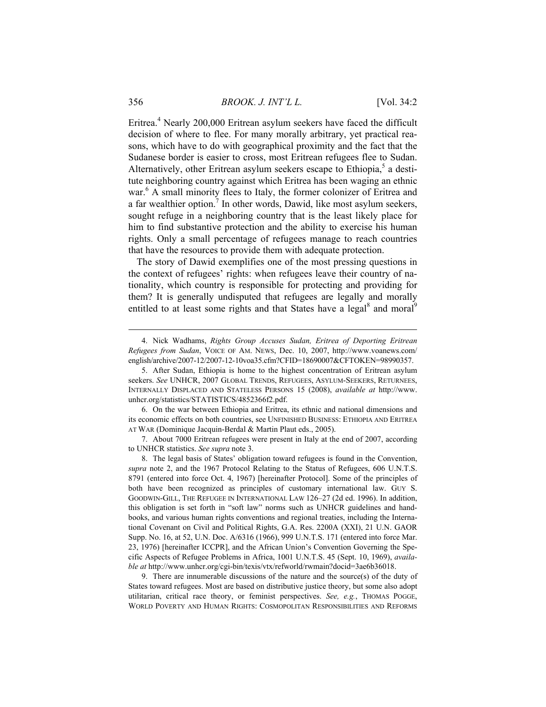Eritrea.<sup>4</sup> Nearly 200,000 Eritrean asylum seekers have faced the difficult decision of where to flee. For many morally arbitrary, yet practical reasons, which have to do with geographical proximity and the fact that the Sudanese border is easier to cross, most Eritrean refugees flee to Sudan. Alternatively, other Eritrean asylum seekers escape to Ethiopia, $5$  a destitute neighboring country against which Eritrea has been waging an ethnic war.<sup>6</sup> A small minority flees to Italy, the former colonizer of Eritrea and a far wealthier option.<sup>7</sup> In other words, Dawid, like most asylum seekers, sought refuge in a neighboring country that is the least likely place for him to find substantive protection and the ability to exercise his human rights. Only a small percentage of refugees manage to reach countries that have the resources to provide them with adequate protection.

The story of Dawid exemplifies one of the most pressing questions in the context of refugees' rights: when refugees leave their country of nationality, which country is responsible for protecting and providing for them? It is generally undisputed that refugees are legally and morally entitled to at least some rights and that States have a legal<sup>8</sup> and moral<sup>9</sup>

 6. On the war between Ethiopia and Eritrea, its ethnic and national dimensions and its economic effects on both countries, see UNFINISHED BUSINESS: ETHIOPIA AND ERITREA AT WAR (Dominique Jacquin-Berdal & Martin Plaut eds., 2005).

 7. About 7000 Eritrean refugees were present in Italy at the end of 2007, according to UNHCR statistics. *See supra* note 3.

 9. There are innumerable discussions of the nature and the source(s) of the duty of States toward refugees. Most are based on distributive justice theory, but some also adopt utilitarian, critical race theory, or feminist perspectives. *See, e.g.*, THOMAS POGGE, WORLD POVERTY AND HUMAN RIGHTS: COSMOPOLITAN RESPONSIBILITIES AND REFORMS

 <sup>4.</sup> Nick Wadhams, *Rights Group Accuses Sudan, Eritrea of Deporting Eritrean Refugees from Sudan*, VOICE OF AM. NEWS, Dec. 10, 2007, http://www.voanews.com/ english/archive/2007-12/2007-12-10voa35.cfm?CFID=18690007&CFTOKEN=98990357.

 <sup>5.</sup> After Sudan, Ethiopia is home to the highest concentration of Eritrean asylum seekers. *See* UNHCR, 2007 GLOBAL TRENDS, REFUGEES, ASYLUM-SEEKERS, RETURNEES, INTERNALLY DISPLACED AND STATELESS PERSONS 15 (2008), *available at* http://www. unhcr.org/statistics/STATISTICS/4852366f2.pdf.

 <sup>8.</sup> The legal basis of States' obligation toward refugees is found in the Convention, *supra* note 2, and the 1967 Protocol Relating to the Status of Refugees, 606 U.N.T.S. 8791 (entered into force Oct. 4, 1967) [hereinafter Protocol]. Some of the principles of both have been recognized as principles of customary international law. GUY S. GOODWIN-GILL, THE REFUGEE IN INTERNATIONAL LAW 126–27 (2d ed. 1996). In addition, this obligation is set forth in "soft law" norms such as UNHCR guidelines and handbooks, and various human rights conventions and regional treaties, including the International Covenant on Civil and Political Rights, G.A. Res. 2200A (XXI), 21 U.N. GAOR Supp. No. 16, at 52, U.N. Doc. A/6316 (1966), 999 U.N.T.S. 171 (entered into force Mar. 23, 1976) [hereinafter ICCPR], and the African Union's Convention Governing the Specific Aspects of Refugee Problems in Africa, 1001 U.N.T.S. 45 (Sept. 10, 1969), *available at* http://www.unhcr.org/cgi-bin/texis/vtx/refworld/rwmain?docid=3ae6b36018.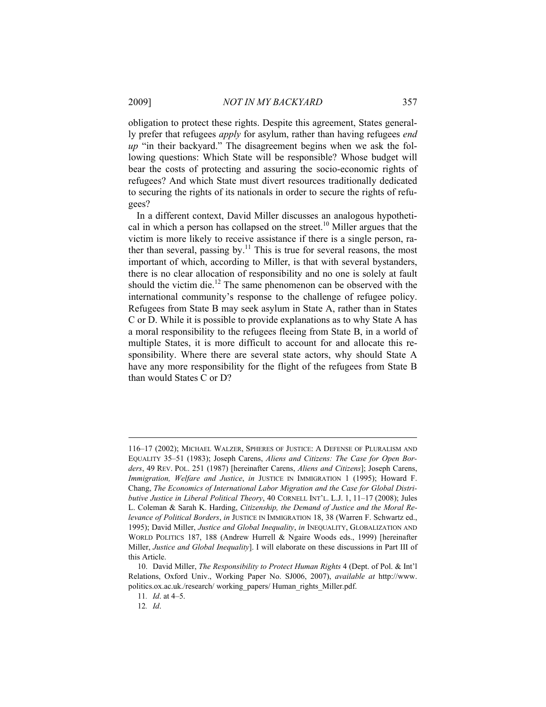obligation to protect these rights. Despite this agreement, States generally prefer that refugees *apply* for asylum, rather than having refugees *end up* "in their backyard." The disagreement begins when we ask the following questions: Which State will be responsible? Whose budget will bear the costs of protecting and assuring the socio-economic rights of refugees? And which State must divert resources traditionally dedicated to securing the rights of its nationals in order to secure the rights of refugees?

In a different context, David Miller discusses an analogous hypothetical in which a person has collapsed on the street.<sup>10</sup> Miller argues that the victim is more likely to receive assistance if there is a single person, rather than several, passing by.<sup>11</sup> This is true for several reasons, the most important of which, according to Miller, is that with several bystanders, there is no clear allocation of responsibility and no one is solely at fault should the victim die.<sup>12</sup> The same phenomenon can be observed with the international community's response to the challenge of refugee policy. Refugees from State B may seek asylum in State A, rather than in States C or D. While it is possible to provide explanations as to why State A has a moral responsibility to the refugees fleeing from State B, in a world of multiple States, it is more difficult to account for and allocate this responsibility. Where there are several state actors, why should State A have any more responsibility for the flight of the refugees from State B than would States C or D?

<sup>116–17</sup> (2002); MICHAEL WALZER, SPHERES OF JUSTICE: A DEFENSE OF PLURALISM AND EQUALITY 35–51 (1983); Joseph Carens, *Aliens and Citizens: The Case for Open Borders*, 49 REV. POL. 251 (1987) [hereinafter Carens, *Aliens and Citizens*]; Joseph Carens, *Immigration, Welfare and Justice*, *in* JUSTICE IN IMMIGRATION 1 (1995); Howard F. Chang, *The Economics of International Labor Migration and the Case for Global Distributive Justice in Liberal Political Theory*, 40 CORNELL INT'L. L.J. 1, 11–17 (2008); Jules L. Coleman & Sarah K. Harding, *Citizenship, the Demand of Justice and the Moral Relevance of Political Borders*, *in* JUSTICE IN IMMIGRATION 18, 38 (Warren F. Schwartz ed., 1995); David Miller, *Justice and Global Inequality*, *in* INEQUALITY, GLOBALIZATION AND WORLD POLITICS 187, 188 (Andrew Hurrell & Ngaire Woods eds., 1999) [hereinafter Miller, *Justice and Global Inequality*]. I will elaborate on these discussions in Part III of this Article.

 <sup>10.</sup> David Miller, *The Responsibility to Protect Human Rights* 4 (Dept. of Pol. & Int'l Relations, Oxford Univ., Working Paper No. SJ006, 2007), *available at* http://www. politics.ox.ac.uk./research/ working\_papers/ Human\_rights\_Miller.pdf.

<sup>11</sup>*. Id*. at 4–5.

<sup>12</sup>*. Id*.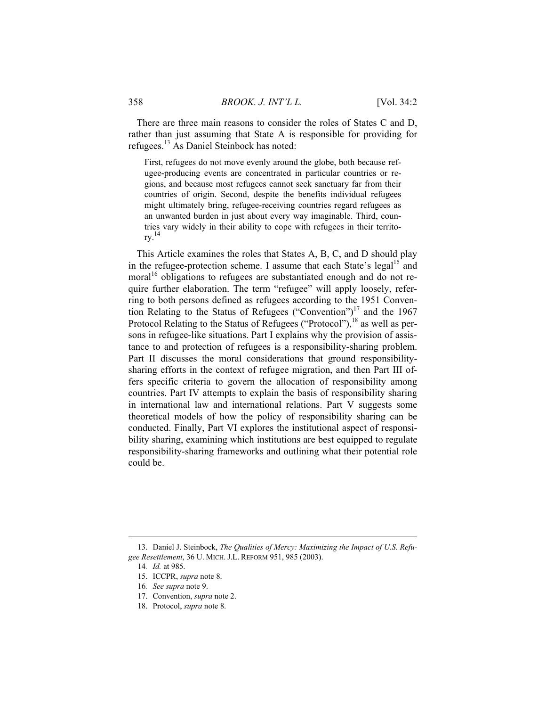There are three main reasons to consider the roles of States C and D, rather than just assuming that State A is responsible for providing for refugees.13 As Daniel Steinbock has noted:

First, refugees do not move evenly around the globe, both because refugee-producing events are concentrated in particular countries or regions, and because most refugees cannot seek sanctuary far from their countries of origin. Second, despite the benefits individual refugees might ultimately bring, refugee-receiving countries regard refugees as an unwanted burden in just about every way imaginable. Third, countries vary widely in their ability to cope with refugees in their territory. 14

This Article examines the roles that States A, B, C, and D should play in the refugee-protection scheme. I assume that each State's legal<sup>15</sup> and moral<sup>16</sup> obligations to refugees are substantiated enough and do not require further elaboration. The term "refugee" will apply loosely, referring to both persons defined as refugees according to the 1951 Convention Relating to the Status of Refugees ("Convention")17 and the 1967 Protocol Relating to the Status of Refugees ("Protocol"),<sup>18</sup> as well as persons in refugee-like situations. Part I explains why the provision of assistance to and protection of refugees is a responsibility-sharing problem. Part II discusses the moral considerations that ground responsibilitysharing efforts in the context of refugee migration, and then Part III offers specific criteria to govern the allocation of responsibility among countries. Part IV attempts to explain the basis of responsibility sharing in international law and international relations. Part V suggests some theoretical models of how the policy of responsibility sharing can be conducted. Finally, Part VI explores the institutional aspect of responsibility sharing, examining which institutions are best equipped to regulate responsibility-sharing frameworks and outlining what their potential role could be.

 <sup>13.</sup> Daniel J. Steinbock, *The Qualities of Mercy: Maximizing the Impact of U.S. Refugee Resettlement*, 36 U. MICH. J.L. REFORM 951, 985 (2003).

<sup>14</sup>*. Id.* at 985.

 <sup>15.</sup> ICCPR, *supra* note 8.

<sup>16</sup>*. See supra* note 9.

 <sup>17.</sup> Convention, *supra* note 2.

 <sup>18.</sup> Protocol, *supra* note 8.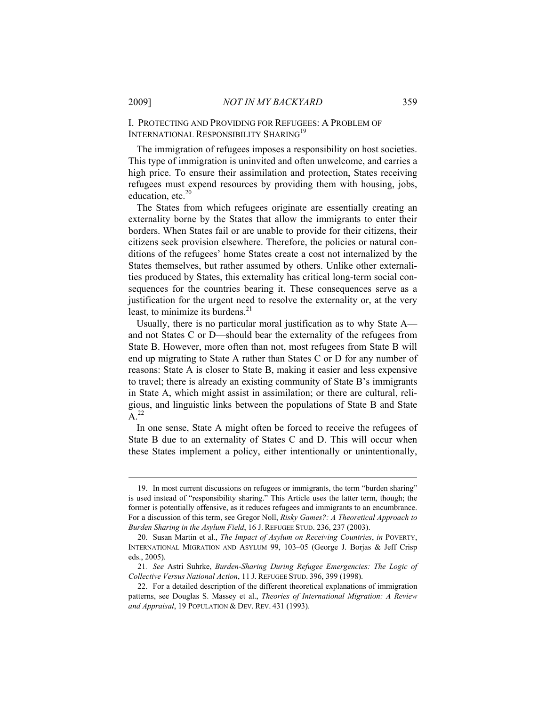I. PROTECTING AND PROVIDING FOR REFUGEES: A PROBLEM OF INTERNATIONAL RESPONSIBILITY SHARING<sup>19</sup>

The immigration of refugees imposes a responsibility on host societies. This type of immigration is uninvited and often unwelcome, and carries a high price. To ensure their assimilation and protection, States receiving refugees must expend resources by providing them with housing, jobs, education, etc. $20$ 

The States from which refugees originate are essentially creating an externality borne by the States that allow the immigrants to enter their borders. When States fail or are unable to provide for their citizens, their citizens seek provision elsewhere. Therefore, the policies or natural conditions of the refugees' home States create a cost not internalized by the States themselves, but rather assumed by others. Unlike other externalities produced by States, this externality has critical long-term social consequences for the countries bearing it. These consequences serve as a justification for the urgent need to resolve the externality or, at the very least, to minimize its burdens. $21$ 

Usually, there is no particular moral justification as to why State A and not States C or D—should bear the externality of the refugees from State B. However, more often than not, most refugees from State B will end up migrating to State A rather than States C or D for any number of reasons: State A is closer to State B, making it easier and less expensive to travel; there is already an existing community of State B's immigrants in State A, which might assist in assimilation; or there are cultural, religious, and linguistic links between the populations of State B and State  $A^{22}$ 

In one sense, State A might often be forced to receive the refugees of State B due to an externality of States C and D. This will occur when these States implement a policy, either intentionally or unintentionally,

 <sup>19.</sup> In most current discussions on refugees or immigrants, the term "burden sharing" is used instead of "responsibility sharing." This Article uses the latter term, though; the former is potentially offensive, as it reduces refugees and immigrants to an encumbrance. For a discussion of this term, see Gregor Noll, *Risky Games?: A Theoretical Approach to Burden Sharing in the Asylum Field*, 16 J. REFUGEE STUD. 236, 237 (2003).

 <sup>20.</sup> Susan Martin et al., *The Impact of Asylum on Receiving Countries*, *in* POVERTY, INTERNATIONAL MIGRATION AND ASYLUM 99, 103–05 (George J. Borjas & Jeff Crisp eds., 2005).

<sup>21</sup>*. See* Astri Suhrke, *Burden-Sharing During Refugee Emergencies: The Logic of Collective Versus National Action*, 11 J. REFUGEE STUD. 396, 399 (1998).

 <sup>22.</sup> For a detailed description of the different theoretical explanations of immigration patterns, see Douglas S. Massey et al., *Theories of International Migration: A Review and Appraisal*, 19 POPULATION & DEV. REV. 431 (1993).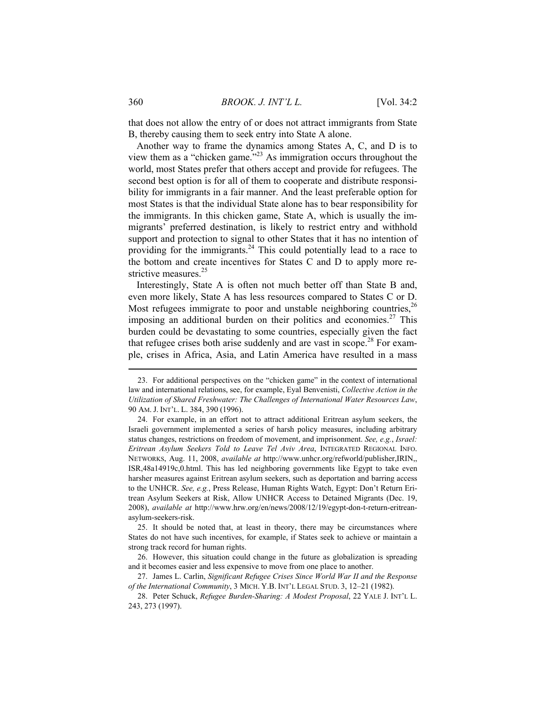that does not allow the entry of or does not attract immigrants from State B, thereby causing them to seek entry into State A alone.

Another way to frame the dynamics among States A, C, and D is to view them as a "chicken game."23 As immigration occurs throughout the world, most States prefer that others accept and provide for refugees. The second best option is for all of them to cooperate and distribute responsibility for immigrants in a fair manner. And the least preferable option for most States is that the individual State alone has to bear responsibility for the immigrants. In this chicken game, State A, which is usually the immigrants' preferred destination, is likely to restrict entry and withhold support and protection to signal to other States that it has no intention of providing for the immigrants.<sup>24</sup> This could potentially lead to a race to the bottom and create incentives for States C and D to apply more restrictive measures.<sup>25</sup>

Interestingly, State A is often not much better off than State B and, even more likely, State A has less resources compared to States C or D. Most refugees immigrate to poor and unstable neighboring countries,  $26$ imposing an additional burden on their politics and economies.<sup>27</sup> This burden could be devastating to some countries, especially given the fact that refugee crises both arise suddenly and are vast in scope.<sup>28</sup> For example, crises in Africa, Asia, and Latin America have resulted in a mass

 <sup>23.</sup> For additional perspectives on the "chicken game" in the context of international law and international relations, see, for example, Eyal Benvenisti, *Collective Action in the Utilization of Shared Freshwater: The Challenges of International Water Resources Law*, 90 AM. J. INT'L. L. 384, 390 (1996).

 <sup>24.</sup> For example, in an effort not to attract additional Eritrean asylum seekers, the Israeli government implemented a series of harsh policy measures, including arbitrary status changes, restrictions on freedom of movement, and imprisonment. *See, e.g.*, *Israel: Eritrean Asylum Seekers Told to Leave Tel Aviv Area*, INTEGRATED REGIONAL INFO. NETWORKS, Aug. 11, 2008, *available at* http://www.unhcr.org/refworld/publisher,IRIN,, ISR,48a14919c,0.html. This has led neighboring governments like Egypt to take even harsher measures against Eritrean asylum seekers, such as deportation and barring access to the UNHCR. *See, e.g.*, Press Release, Human Rights Watch, Egypt: Don't Return Eritrean Asylum Seekers at Risk, Allow UNHCR Access to Detained Migrants (Dec. 19, 2008), *available at* http://www.hrw.org/en/news/2008/12/19/egypt-don-t-return-eritreanasylum-seekers-risk.

 <sup>25.</sup> It should be noted that, at least in theory, there may be circumstances where States do not have such incentives, for example, if States seek to achieve or maintain a strong track record for human rights.

 <sup>26.</sup> However, this situation could change in the future as globalization is spreading and it becomes easier and less expensive to move from one place to another.

 <sup>27.</sup> James L. Carlin, *Significant Refugee Crises Since World War II and the Response of the International Community*, 3 MICH. Y.B. INT'L LEGAL STUD. 3, 12–21 (1982).

 <sup>28.</sup> Peter Schuck, *Refugee Burden-Sharing: A Modest Proposal*, 22 YALE J. INT'L L. 243, 273 (1997).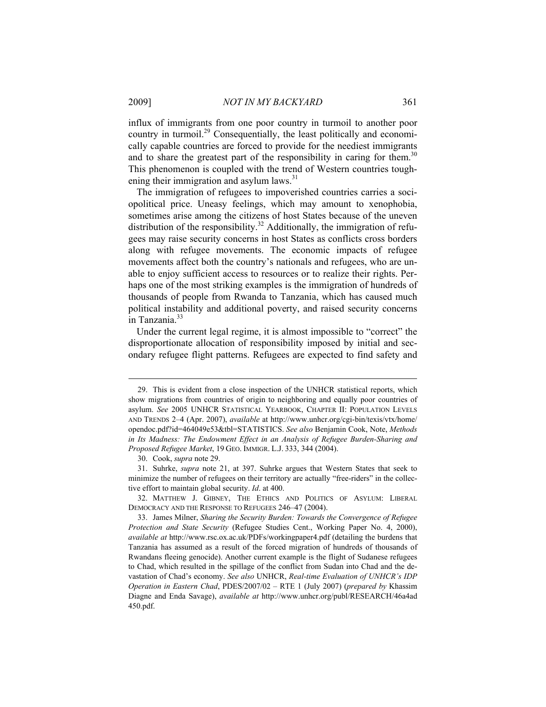influx of immigrants from one poor country in turmoil to another poor country in turmoil.<sup>29</sup> Consequentially, the least politically and economically capable countries are forced to provide for the neediest immigrants and to share the greatest part of the responsibility in caring for them.<sup>30</sup> This phenomenon is coupled with the trend of Western countries toughening their immigration and asylum laws.<sup>31</sup>

The immigration of refugees to impoverished countries carries a sociopolitical price. Uneasy feelings, which may amount to xenophobia, sometimes arise among the citizens of host States because of the uneven distribution of the responsibility.<sup>32</sup> Additionally, the immigration of refugees may raise security concerns in host States as conflicts cross borders along with refugee movements. The economic impacts of refugee movements affect both the country's nationals and refugees, who are unable to enjoy sufficient access to resources or to realize their rights. Perhaps one of the most striking examples is the immigration of hundreds of thousands of people from Rwanda to Tanzania, which has caused much political instability and additional poverty, and raised security concerns in Tanzania.<sup>33</sup>

Under the current legal regime, it is almost impossible to "correct" the disproportionate allocation of responsibility imposed by initial and secondary refugee flight patterns. Refugees are expected to find safety and

 <sup>29.</sup> This is evident from a close inspection of the UNHCR statistical reports, which show migrations from countries of origin to neighboring and equally poor countries of asylum. *See* 2005 UNHCR STATISTICAL YEARBOOK, CHAPTER II: POPULATION LEVELS AND TRENDS 2–4 (Apr. 2007), *available* at http://www.unhcr.org/cgi-bin/texis/vtx/home/ opendoc.pdf?id=464049e53&tbl=STATISTICS. *See also* Benjamin Cook, Note, *Methods in Its Madness: The Endowment Effect in an Analysis of Refugee Burden-Sharing and Proposed Refugee Market*, 19 GEO. IMMIGR. L.J. 333, 344 (2004).

 <sup>30.</sup> Cook, *supra* note 29.

 <sup>31.</sup> Suhrke, *supra* note 21, at 397. Suhrke argues that Western States that seek to minimize the number of refugees on their territory are actually "free-riders" in the collective effort to maintain global security. *Id*. at 400.

 <sup>32.</sup> MATTHEW J. GIBNEY, THE ETHICS AND POLITICS OF ASYLUM: LIBERAL DEMOCRACY AND THE RESPONSE TO REFUGEES 246–47 (2004).

 <sup>33.</sup> James Milner, *Sharing the Security Burden: Towards the Convergence of Refugee Protection and State Security* (Refugee Studies Cent., Working Paper No. 4, 2000), *available at* http://www.rsc.ox.ac.uk/PDFs/workingpaper4.pdf (detailing the burdens that Tanzania has assumed as a result of the forced migration of hundreds of thousands of Rwandans fleeing genocide). Another current example is the flight of Sudanese refugees to Chad, which resulted in the spillage of the conflict from Sudan into Chad and the devastation of Chad's economy. *See also* UNHCR, *Real-time Evaluation of UNHCR's IDP Operation in Eastern Chad*, PDES/2007/02 – RTE 1 (July 2007) (*prepared by* Khassim Diagne and Enda Savage), *available at* http://www.unhcr.org/publ/RESEARCH/46a4ad 450.pdf.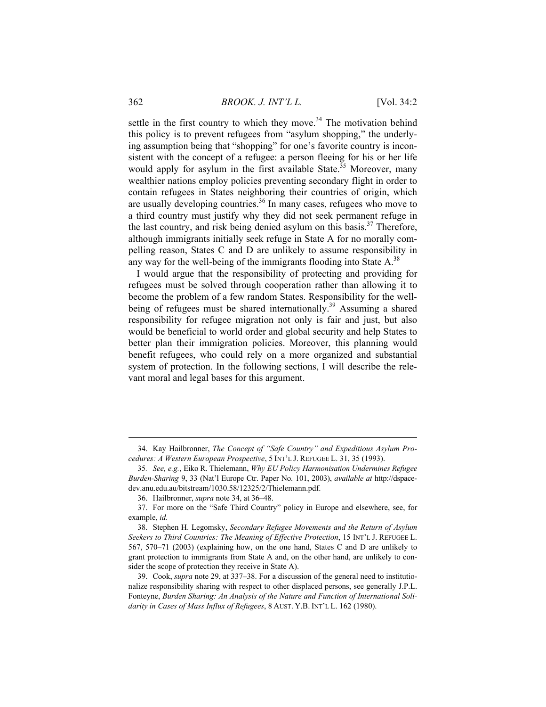settle in the first country to which they move.<sup>34</sup> The motivation behind this policy is to prevent refugees from "asylum shopping," the underlying assumption being that "shopping" for one's favorite country is inconsistent with the concept of a refugee: a person fleeing for his or her life would apply for asylum in the first available State.<sup>35</sup> Moreover, many wealthier nations employ policies preventing secondary flight in order to contain refugees in States neighboring their countries of origin, which are usually developing countries.<sup>36</sup> In many cases, refugees who move to a third country must justify why they did not seek permanent refuge in the last country, and risk being denied asylum on this basis.<sup>37</sup> Therefore, although immigrants initially seek refuge in State A for no morally compelling reason, States C and D are unlikely to assume responsibility in any way for the well-being of the immigrants flooding into State  $A<sup>38</sup>$ 

I would argue that the responsibility of protecting and providing for refugees must be solved through cooperation rather than allowing it to become the problem of a few random States. Responsibility for the wellbeing of refugees must be shared internationally.<sup>39</sup> Assuming a shared responsibility for refugee migration not only is fair and just, but also would be beneficial to world order and global security and help States to better plan their immigration policies. Moreover, this planning would benefit refugees, who could rely on a more organized and substantial system of protection. In the following sections, I will describe the relevant moral and legal bases for this argument.

 <sup>34.</sup> Kay Hailbronner, *The Concept of "Safe Country" and Expeditious Asylum Procedures: A Western European Prospective*, 5 INT'L J. REFUGEE L. 31, 35 (1993).

<sup>35</sup>*. See, e.g.*, Eiko R. Thielemann, *Why EU Policy Harmonisation Undermines Refugee Burden-Sharing* 9, 33 (Nat'l Europe Ctr. Paper No. 101, 2003), *available at* http://dspacedev.anu.edu.au/bitstream/1030.58/12325/2/Thielemann.pdf.

 <sup>36.</sup> Hailbronner, *supra* note 34, at 36–48.

 <sup>37.</sup> For more on the "Safe Third Country" policy in Europe and elsewhere, see, for example, *id.*

 <sup>38.</sup> Stephen H. Legomsky, *Secondary Refugee Movements and the Return of Asylum Seekers to Third Countries: The Meaning of Effective Protection*, 15 INT'L J. REFUGEE L. 567, 570–71 (2003) (explaining how, on the one hand, States C and D are unlikely to grant protection to immigrants from State A and, on the other hand, are unlikely to consider the scope of protection they receive in State A).

 <sup>39.</sup> Cook, *supra* note 29, at 337–38. For a discussion of the general need to institutionalize responsibility sharing with respect to other displaced persons, see generally J.P.L. Fonteyne, *Burden Sharing: An Analysis of the Nature and Function of International Solidarity in Cases of Mass Influx of Refugees*, 8 AUST. Y.B. INT'L L. 162 (1980).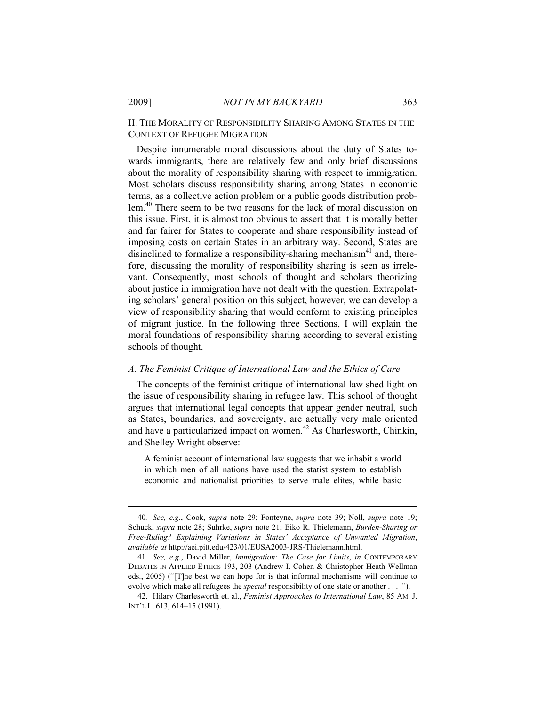II. THE MORALITY OF RESPONSIBILITY SHARING AMONG STATES IN THE CONTEXT OF REFUGEE MIGRATION

Despite innumerable moral discussions about the duty of States towards immigrants, there are relatively few and only brief discussions about the morality of responsibility sharing with respect to immigration. Most scholars discuss responsibility sharing among States in economic terms, as a collective action problem or a public goods distribution problem.<sup>40</sup> There seem to be two reasons for the lack of moral discussion on this issue. First, it is almost too obvious to assert that it is morally better and far fairer for States to cooperate and share responsibility instead of imposing costs on certain States in an arbitrary way. Second, States are disinclined to formalize a responsibility-sharing mechanism<sup>41</sup> and, therefore, discussing the morality of responsibility sharing is seen as irrelevant. Consequently, most schools of thought and scholars theorizing about justice in immigration have not dealt with the question. Extrapolating scholars' general position on this subject, however, we can develop a view of responsibility sharing that would conform to existing principles of migrant justice. In the following three Sections, I will explain the moral foundations of responsibility sharing according to several existing schools of thought.

#### *A. The Feminist Critique of International Law and the Ethics of Care*

The concepts of the feminist critique of international law shed light on the issue of responsibility sharing in refugee law. This school of thought argues that international legal concepts that appear gender neutral, such as States, boundaries, and sovereignty, are actually very male oriented and have a particularized impact on women.<sup>42</sup> As Charlesworth, Chinkin, and Shelley Wright observe:

A feminist account of international law suggests that we inhabit a world in which men of all nations have used the statist system to establish economic and nationalist priorities to serve male elites, while basic

<sup>40</sup>*. See, e.g.*, Cook, *supra* note 29; Fonteyne, *supra* note 39; Noll, *supra* note 19; Schuck, *supra* note 28; Suhrke, *supra* note 21; Eiko R. Thielemann, *Burden-Sharing or Free-Riding? Explaining Variations in States' Acceptance of Unwanted Migration*, *available at* http://aei.pitt.edu/423/01/EUSA2003-JRS-Thielemann.html.

<sup>41</sup>*. See, e.g.*, David Miller, *Immigration: The Case for Limits*, *in* CONTEMPORARY DEBATES IN APPLIED ETHICS 193, 203 (Andrew I. Cohen & Christopher Heath Wellman eds., 2005) ("[T]he best we can hope for is that informal mechanisms will continue to evolve which make all refugees the *special* responsibility of one state or another . . . .").

 <sup>42.</sup> Hilary Charlesworth et. al., *Feminist Approaches to International Law*, 85 AM. J. INT'L L. 613, 614–15 (1991).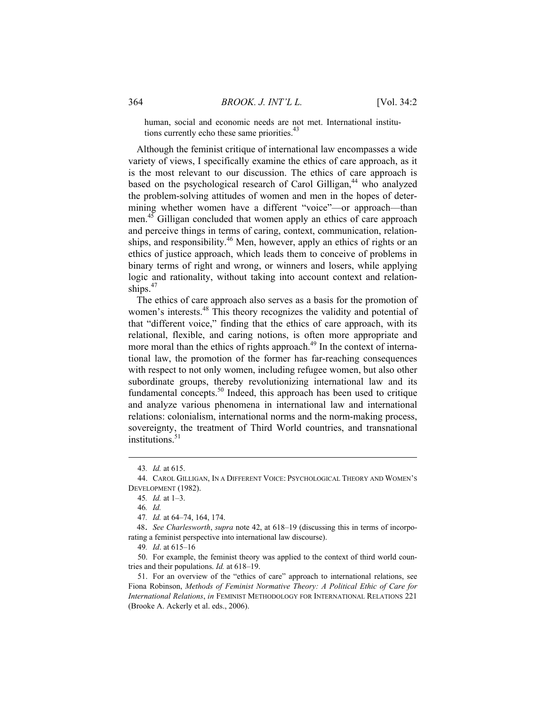human, social and economic needs are not met. International institutions currently echo these same priorities.<sup>4</sup>

Although the feminist critique of international law encompasses a wide variety of views, I specifically examine the ethics of care approach, as it is the most relevant to our discussion. The ethics of care approach is based on the psychological research of Carol Gilligan,<sup>44</sup> who analyzed the problem-solving attitudes of women and men in the hopes of determining whether women have a different "voice"—or approach—than men.45 Gilligan concluded that women apply an ethics of care approach and perceive things in terms of caring, context, communication, relationships, and responsibility.<sup>46</sup> Men, however, apply an ethics of rights or an ethics of justice approach, which leads them to conceive of problems in binary terms of right and wrong, or winners and losers, while applying logic and rationality, without taking into account context and relationships.<sup>47</sup>

The ethics of care approach also serves as a basis for the promotion of women's interests.<sup>48</sup> This theory recognizes the validity and potential of that "different voice," finding that the ethics of care approach, with its relational, flexible, and caring notions, is often more appropriate and more moral than the ethics of rights approach.<sup>49</sup> In the context of international law, the promotion of the former has far-reaching consequences with respect to not only women, including refugee women, but also other subordinate groups, thereby revolutionizing international law and its fundamental concepts.<sup>50</sup> Indeed, this approach has been used to critique and analyze various phenomena in international law and international relations: colonialism, international norms and the norm-making process, sovereignty, the treatment of Third World countries, and transnational institutions. $51$ 

<sup>43</sup>*. Id.* at 615.

 <sup>44.</sup> CAROL GILLIGAN, IN A DIFFERENT VOICE: PSYCHOLOGICAL THEORY AND WOMEN'S DEVELOPMENT (1982).

<sup>45</sup>*. Id.* at 1–3.

<sup>46</sup>*. Id.* 

<sup>47</sup>*. Id.* at 64–74, 164, 174.

<sup>48.</sup> *See Charlesworth*, *supra* note 42, at 618–19 (discussing this in terms of incorporating a feminist perspective into international law discourse).

<sup>49</sup>*. Id*. at 615–16

 <sup>50.</sup> For example, the feminist theory was applied to the context of third world countries and their populations. *Id.* at 618–19.

 <sup>51.</sup> For an overview of the "ethics of care" approach to international relations, see Fiona Robinson, *Methods of Feminist Normative Theory: A Political Ethic of Care for International Relations*, *in* FEMINIST METHODOLOGY FOR INTERNATIONAL RELATIONS 221 (Brooke A. Ackerly et al. eds., 2006).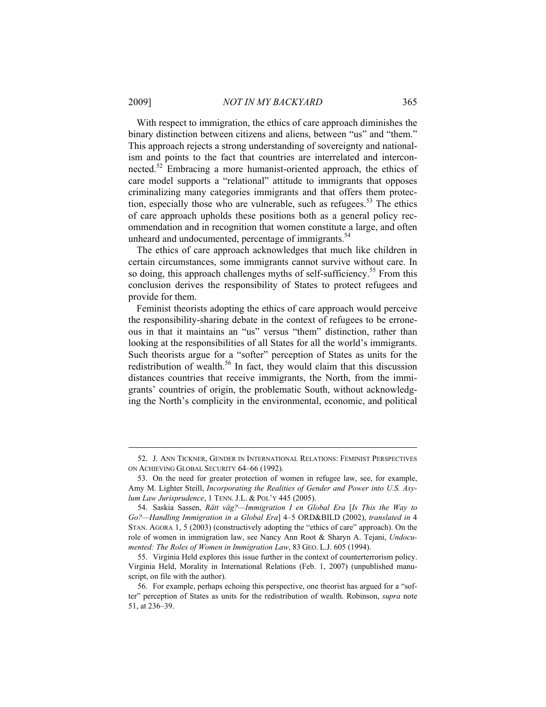With respect to immigration, the ethics of care approach diminishes the binary distinction between citizens and aliens, between "us" and "them." This approach rejects a strong understanding of sovereignty and nationalism and points to the fact that countries are interrelated and interconnected.<sup>52</sup> Embracing a more humanist-oriented approach, the ethics of care model supports a "relational" attitude to immigrants that opposes criminalizing many categories immigrants and that offers them protection, especially those who are vulnerable, such as refugees.<sup>53</sup> The ethics of care approach upholds these positions both as a general policy recommendation and in recognition that women constitute a large, and often unheard and undocumented, percentage of immigrants.<sup>54</sup>

The ethics of care approach acknowledges that much like children in certain circumstances, some immigrants cannot survive without care. In so doing, this approach challenges myths of self-sufficiency.<sup>55</sup> From this conclusion derives the responsibility of States to protect refugees and provide for them.

Feminist theorists adopting the ethics of care approach would perceive the responsibility-sharing debate in the context of refugees to be erroneous in that it maintains an "us" versus "them" distinction, rather than looking at the responsibilities of all States for all the world's immigrants. Such theorists argue for a "softer" perception of States as units for the redistribution of wealth.<sup>56</sup> In fact, they would claim that this discussion distances countries that receive immigrants, the North, from the immigrants' countries of origin, the problematic South, without acknowledging the North's complicity in the environmental, economic, and political

 <sup>52.</sup> J. ANN TICKNER, GENDER IN INTERNATIONAL RELATIONS: FEMINIST PERSPECTIVES ON ACHIEVING GLOBAL SECURITY 64–66 (1992).

 <sup>53.</sup> On the need for greater protection of women in refugee law, see, for example, Amy M. Lighter Steill, *Incorporating the Realities of Gender and Power into U.S. Asylum Law Jurisprudence*, 1 TENN.J.L. & POL'Y 445 (2005).

 <sup>54.</sup> Saskia Sassen, *Rätt väg?—Immigration I en Global Era* [*Is This the Way to Go?—Handling Immigration in a Global Era*] 4–5 ORD&BILD (2002), *translated in* 4 STAN. AGORA 1, 5 (2003) (constructively adopting the "ethics of care" approach). On the role of women in immigration law, see Nancy Ann Root & Sharyn A. Tejani, *Undocumented: The Roles of Women in Immigration Law*, 83 GEO. L.J. 605 (1994).

 <sup>55.</sup> Virginia Held explores this issue further in the context of counterterrorism policy. Virginia Held, Morality in International Relations (Feb. 1, 2007) (unpublished manuscript, on file with the author).

 <sup>56.</sup> For example, perhaps echoing this perspective, one theorist has argued for a "softer" perception of States as units for the redistribution of wealth. Robinson, *supra* note 51, at 236–39.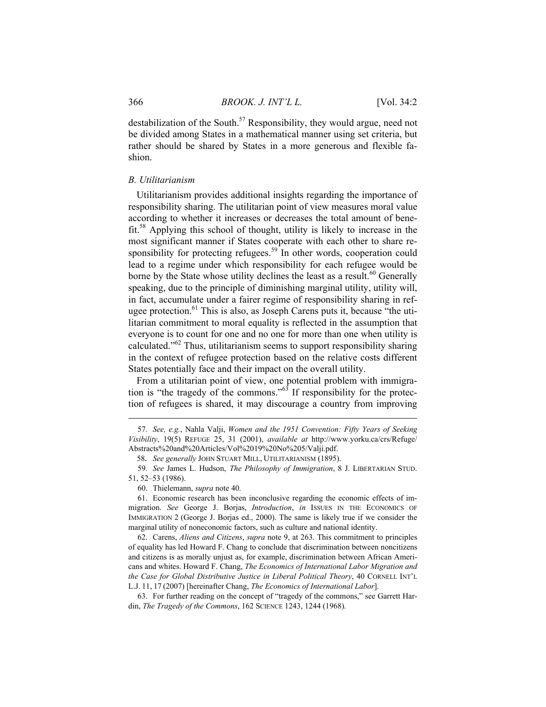destabilization of the South.<sup>57</sup> Responsibility, they would argue, need not be divided among States in a mathematical manner using set criteria, but rather should be shared by States in a more generous and flexible fashion.

#### *B. Utilitarianism*

Utilitarianism provides additional insights regarding the importance of responsibility sharing. The utilitarian point of view measures moral value according to whether it increases or decreases the total amount of benefit.58 Applying this school of thought, utility is likely to increase in the most significant manner if States cooperate with each other to share responsibility for protecting refugees.<sup>59</sup> In other words, cooperation could lead to a regime under which responsibility for each refugee would be borne by the State whose utility declines the least as a result.<sup>60</sup> Generally speaking, due to the principle of diminishing marginal utility, utility will, in fact, accumulate under a fairer regime of responsibility sharing in refugee protection.<sup>61</sup> This is also, as Joseph Carens puts it, because "the utilitarian commitment to moral equality is reflected in the assumption that everyone is to count for one and no one for more than one when utility is calculated."<sup>62</sup> Thus, utilitarianism seems to support responsibility sharing in the context of refugee protection based on the relative costs different States potentially face and their impact on the overall utility.

From a utilitarian point of view, one potential problem with immigration is "the tragedy of the commons."<sup>63</sup> If responsibility for the protection of refugees is shared, it may discourage a country from improving

 62. Carens, *Aliens and Citizens*, *supra* note 9, at 263. This commitment to principles of equality has led Howard F. Chang to conclude that discrimination between noncitizens and citizens is as morally unjust as, for example, discrimination between African Americans and whites. Howard F. Chang, *The Economics of International Labor Migration and the Case for Global Distributive Justice in Liberal Political Theory*, 40 CORNELL INT'L L.J. 11, 17 (2007) [hereinafter Chang, *The Economics of International Labor*].

<sup>57</sup>*. See, e.g.*, Nahla Valji, *Women and the 1951 Convention: Fifty Years of Seeking Visibility*, 19(5) REFUGE 25, 31 (2001), *available at* http://www.yorku.ca/crs/Refuge/ Abstracts%20and%20Articles/Vol%2019%20No%205/Valji.pdf.

<sup>58</sup>*. See generally* JOHN STUART MILL, UTILITARIANISM (1895).

<sup>59</sup>*. See* James L. Hudson, *The Philosophy of Immigration*, 8 J. LIBERTARIAN STUD. 51, 52–53 (1986).

 <sup>60.</sup> Thielemann, *supra* note 40.

 <sup>61.</sup> Economic research has been inconclusive regarding the economic effects of immigration. *See* George J. Borjas, *Introduction*, *in* ISSUES IN THE ECONOMICS OF IMMIGRATION 2 (George J. Borjas ed., 2000). The same is likely true if we consider the marginal utility of noneconomic factors, such as culture and national identity.

 <sup>63.</sup> For further reading on the concept of "tragedy of the commons," see Garrett Hardin, *The Tragedy of the Commons*, 162 SCIENCE 1243, 1244 (1968).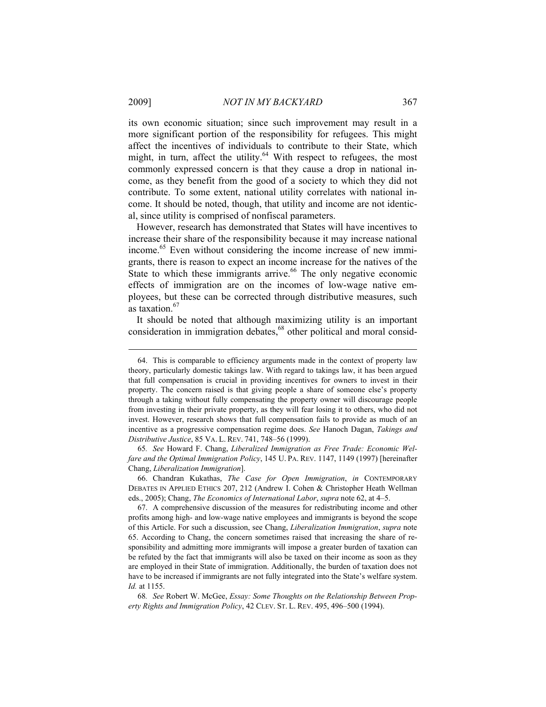its own economic situation; since such improvement may result in a more significant portion of the responsibility for refugees. This might affect the incentives of individuals to contribute to their State, which might, in turn, affect the utility. $64$  With respect to refugees, the most commonly expressed concern is that they cause a drop in national income, as they benefit from the good of a society to which they did not contribute. To some extent, national utility correlates with national income. It should be noted, though, that utility and income are not identical, since utility is comprised of nonfiscal parameters.

However, research has demonstrated that States will have incentives to increase their share of the responsibility because it may increase national income.65 Even without considering the income increase of new immigrants, there is reason to expect an income increase for the natives of the State to which these immigrants arrive.<sup>66</sup> The only negative economic effects of immigration are on the incomes of low-wage native employees, but these can be corrected through distributive measures, such as taxation.<sup>67</sup>

It should be noted that although maximizing utility is an important consideration in immigration debates,<sup>68</sup> other political and moral consid-

65*. See* Howard F. Chang, *Liberalized Immigration as Free Trade: Economic Welfare and the Optimal Immigration Policy*, 145 U. PA. REV. 1147, 1149 (1997) [hereinafter Chang, *Liberalization Immigration*].

 <sup>64.</sup> This is comparable to efficiency arguments made in the context of property law theory, particularly domestic takings law. With regard to takings law, it has been argued that full compensation is crucial in providing incentives for owners to invest in their property. The concern raised is that giving people a share of someone else's property through a taking without fully compensating the property owner will discourage people from investing in their private property, as they will fear losing it to others, who did not invest. However, research shows that full compensation fails to provide as much of an incentive as a progressive compensation regime does. *See* Hanoch Dagan, *Takings and Distributive Justice*, 85 VA. L. REV. 741, 748–56 (1999).

 <sup>66.</sup> Chandran Kukathas, *The Case for Open Immigration*, *in* CONTEMPORARY DEBATES IN APPLIED ETHICS 207, 212 (Andrew I. Cohen & Christopher Heath Wellman eds., 2005); Chang, *The Economics of International Labor*, *supra* note 62, at 4–5.

 <sup>67.</sup> A comprehensive discussion of the measures for redistributing income and other profits among high- and low-wage native employees and immigrants is beyond the scope of this Article. For such a discussion, see Chang, *Liberalization Immigration*, *supra* note 65. According to Chang, the concern sometimes raised that increasing the share of responsibility and admitting more immigrants will impose a greater burden of taxation can be refuted by the fact that immigrants will also be taxed on their income as soon as they are employed in their State of immigration. Additionally, the burden of taxation does not have to be increased if immigrants are not fully integrated into the State's welfare system. *Id.* at 1155.

<sup>68</sup>*. See* Robert W. McGee, *Essay: Some Thoughts on the Relationship Between Property Rights and Immigration Policy*, 42 CLEV. ST. L. REV. 495, 496–500 (1994).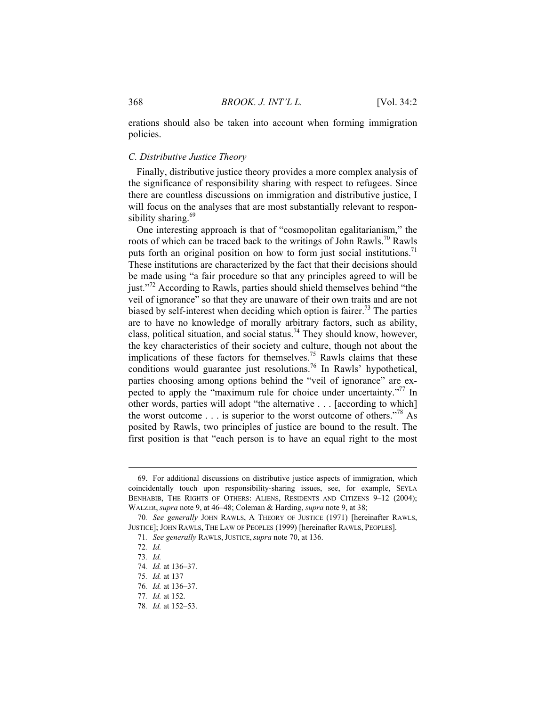erations should also be taken into account when forming immigration policies.

#### *C. Distributive Justice Theory*

Finally, distributive justice theory provides a more complex analysis of the significance of responsibility sharing with respect to refugees. Since there are countless discussions on immigration and distributive justice, I will focus on the analyses that are most substantially relevant to responsibility sharing. $69$ 

One interesting approach is that of "cosmopolitan egalitarianism," the roots of which can be traced back to the writings of John Rawls.<sup>70</sup> Rawls puts forth an original position on how to form just social institutions.<sup>71</sup> These institutions are characterized by the fact that their decisions should be made using "a fair procedure so that any principles agreed to will be just."<sup>72</sup> According to Rawls, parties should shield themselves behind "the veil of ignorance" so that they are unaware of their own traits and are not biased by self-interest when deciding which option is fairer.<sup>73</sup> The parties are to have no knowledge of morally arbitrary factors, such as ability, class, political situation, and social status.<sup>74</sup> They should know, however, the key characteristics of their society and culture, though not about the implications of these factors for themselves.<sup>75</sup> Rawls claims that these conditions would guarantee just resolutions.<sup>76</sup> In Rawls' hypothetical, parties choosing among options behind the "veil of ignorance" are expected to apply the "maximum rule for choice under uncertainty."<sup>77</sup> In other words, parties will adopt "the alternative . . . [according to which] the worst outcome  $\ldots$  is superior to the worst outcome of others."<sup>78</sup> As posited by Rawls, two principles of justice are bound to the result. The first position is that "each person is to have an equal right to the most

 <sup>69.</sup> For additional discussions on distributive justice aspects of immigration, which coincidentally touch upon responsibility-sharing issues, see, for example, SEYLA BENHABIB, THE RIGHTS OF OTHERS: ALIENS, RESIDENTS AND CITIZENS 9-12 (2004); WALZER, *supra* note 9, at 46–48; Coleman & Harding, *supra* note 9, at 38;

<sup>70</sup>*. See generally* JOHN RAWLS, A THEORY OF JUSTICE (1971) [hereinafter RAWLS, JUSTICE]; JOHN RAWLS, THE LAW OF PEOPLES (1999) [hereinafter RAWLS, PEOPLES].

<sup>71</sup>*. See generally* RAWLS, JUSTICE, *supra* note 70, at 136.

<sup>72</sup>*. Id.*

<sup>73</sup>*. Id.*

<sup>74</sup>*. Id.* at 136–37.

<sup>75</sup>*. Id.* at 137

<sup>76</sup>*. Id.* at 136–37.

<sup>77</sup>*. Id.* at 152.

<sup>78</sup>*. Id.* at 152–53.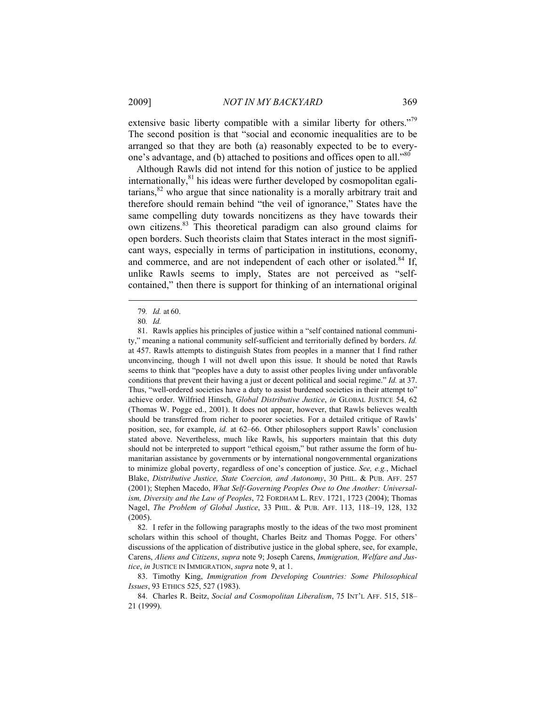extensive basic liberty compatible with a similar liberty for others."<sup>79</sup> The second position is that "social and economic inequalities are to be arranged so that they are both (a) reasonably expected to be to everyone's advantage, and (b) attached to positions and offices open to all."<sup>80</sup>

Although Rawls did not intend for this notion of justice to be applied internationally, $81$  his ideas were further developed by cosmopolitan egalitarians, $82$  who argue that since nationality is a morally arbitrary trait and therefore should remain behind "the veil of ignorance," States have the same compelling duty towards noncitizens as they have towards their own citizens.83 This theoretical paradigm can also ground claims for open borders. Such theorists claim that States interact in the most significant ways, especially in terms of participation in institutions, economy, and commerce, and are not independent of each other or isolated.<sup>84</sup> If, unlike Rawls seems to imply, States are not perceived as "selfcontained," then there is support for thinking of an international original

<sup>79</sup>*. Id.* at 60.

<sup>80</sup>*. Id.*

 <sup>81.</sup> Rawls applies his principles of justice within a "self contained national community," meaning a national community self-sufficient and territorially defined by borders. *Id.*  at 457. Rawls attempts to distinguish States from peoples in a manner that I find rather unconvincing, though I will not dwell upon this issue. It should be noted that Rawls seems to think that "peoples have a duty to assist other peoples living under unfavorable conditions that prevent their having a just or decent political and social regime." *Id.* at 37. Thus, "well-ordered societies have a duty to assist burdened societies in their attempt to" achieve order. Wilfried Hinsch, *Global Distributive Justice*, *in* GLOBAL JUSTICE 54, 62 (Thomas W. Pogge ed., 2001). It does not appear, however, that Rawls believes wealth should be transferred from richer to poorer societies. For a detailed critique of Rawls' position, see, for example, *id.* at 62–66. Other philosophers support Rawls' conclusion stated above. Nevertheless, much like Rawls, his supporters maintain that this duty should not be interpreted to support "ethical egoism," but rather assume the form of humanitarian assistance by governments or by international nongovernmental organizations to minimize global poverty, regardless of one's conception of justice. *See, e.g.*, Michael Blake, *Distributive Justice, State Coercion, and Autonomy*, 30 PHIL. & PUB. AFF. 257 (2001); Stephen Macedo, *What Self-Governing Peoples Owe to One Another: Universalism, Diversity and the Law of Peoples*, 72 FORDHAM L. REV. 1721, 1723 (2004); Thomas Nagel, *The Problem of Global Justice*, 33 PHIL. & PUB. AFF. 113, 118–19, 128, 132 (2005).

 <sup>82.</sup> I refer in the following paragraphs mostly to the ideas of the two most prominent scholars within this school of thought, Charles Beitz and Thomas Pogge. For others' discussions of the application of distributive justice in the global sphere, see, for example, Carens, *Aliens and Citizens*, *supra* note 9; Joseph Carens, *Immigration, Welfare and Justice*, *in* JUSTICE IN IMMIGRATION, *supra* note 9, at 1.

 <sup>83.</sup> Timothy King, *Immigration from Developing Countries: Some Philosophical Issues*, 93 ETHICS 525, 527 (1983).

 <sup>84.</sup> Charles R. Beitz, *Social and Cosmopolitan Liberalism*, 75 INT'L AFF. 515, 518– 21 (1999).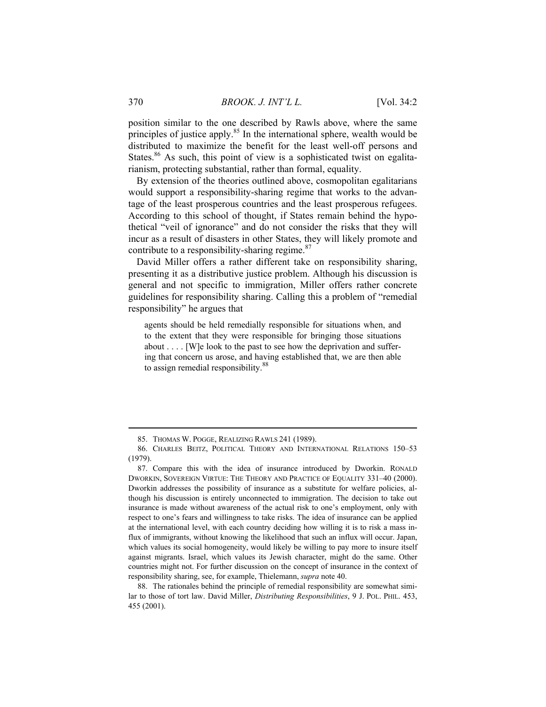position similar to the one described by Rawls above, where the same principles of justice apply.<sup>85</sup> In the international sphere, wealth would be distributed to maximize the benefit for the least well-off persons and States.<sup>86</sup> As such, this point of view is a sophisticated twist on egalitarianism, protecting substantial, rather than formal, equality.

By extension of the theories outlined above, cosmopolitan egalitarians would support a responsibility-sharing regime that works to the advantage of the least prosperous countries and the least prosperous refugees. According to this school of thought, if States remain behind the hypothetical "veil of ignorance" and do not consider the risks that they will incur as a result of disasters in other States, they will likely promote and contribute to a responsibility-sharing regime.<sup>87</sup>

David Miller offers a rather different take on responsibility sharing, presenting it as a distributive justice problem. Although his discussion is general and not specific to immigration, Miller offers rather concrete guidelines for responsibility sharing. Calling this a problem of "remedial responsibility" he argues that

agents should be held remedially responsible for situations when, and to the extent that they were responsible for bringing those situations about . . . . [W]e look to the past to see how the deprivation and suffering that concern us arose, and having established that, we are then able to assign remedial responsibility.<sup>88</sup>

 <sup>85.</sup> THOMAS W. POGGE, REALIZING RAWLS 241 (1989).

 <sup>86.</sup> CHARLES BEITZ, POLITICAL THEORY AND INTERNATIONAL RELATIONS 150–53 (1979).

 <sup>87.</sup> Compare this with the idea of insurance introduced by Dworkin. RONALD DWORKIN, SOVEREIGN VIRTUE: THE THEORY AND PRACTICE OF EQUALITY 331–40 (2000). Dworkin addresses the possibility of insurance as a substitute for welfare policies, although his discussion is entirely unconnected to immigration. The decision to take out insurance is made without awareness of the actual risk to one's employment, only with respect to one's fears and willingness to take risks. The idea of insurance can be applied at the international level, with each country deciding how willing it is to risk a mass influx of immigrants, without knowing the likelihood that such an influx will occur. Japan, which values its social homogeneity, would likely be willing to pay more to insure itself against migrants. Israel, which values its Jewish character, might do the same. Other countries might not. For further discussion on the concept of insurance in the context of responsibility sharing, see, for example, Thielemann, *supra* note 40.

 <sup>88.</sup> The rationales behind the principle of remedial responsibility are somewhat similar to those of tort law. David Miller, *Distributing Responsibilities*, 9 J. POL. PHIL. 453, 455 (2001).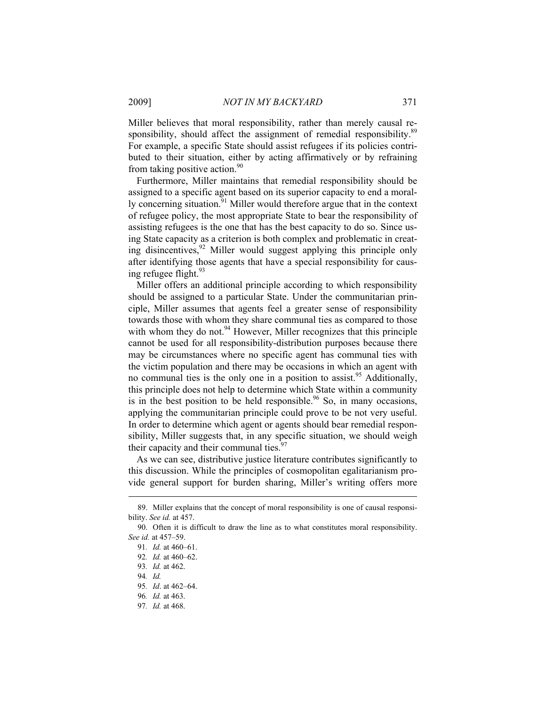Miller believes that moral responsibility, rather than merely causal responsibility, should affect the assignment of remedial responsibility.<sup>89</sup> For example, a specific State should assist refugees if its policies contributed to their situation, either by acting affirmatively or by refraining from taking positive action. $90$ 

Furthermore, Miller maintains that remedial responsibility should be assigned to a specific agent based on its superior capacity to end a morally concerning situation.<sup>91</sup> Miller would therefore argue that in the context of refugee policy, the most appropriate State to bear the responsibility of assisting refugees is the one that has the best capacity to do so. Since using State capacity as a criterion is both complex and problematic in creating disincentives,<sup>92</sup> Miller would suggest applying this principle only after identifying those agents that have a special responsibility for causing refugee flight. $93$ 

Miller offers an additional principle according to which responsibility should be assigned to a particular State. Under the communitarian principle, Miller assumes that agents feel a greater sense of responsibility towards those with whom they share communal ties as compared to those with whom they do not.  $94$  However, Miller recognizes that this principle cannot be used for all responsibility-distribution purposes because there may be circumstances where no specific agent has communal ties with the victim population and there may be occasions in which an agent with no communal ties is the only one in a position to assist.<sup>95</sup> Additionally, this principle does not help to determine which State within a community is in the best position to be held responsible.<sup>96</sup> So, in many occasions, applying the communitarian principle could prove to be not very useful. In order to determine which agent or agents should bear remedial responsibility, Miller suggests that, in any specific situation, we should weigh their capacity and their communal ties.<sup>97</sup>

As we can see, distributive justice literature contributes significantly to this discussion. While the principles of cosmopolitan egalitarianism provide general support for burden sharing, Miller's writing offers more

 <sup>89.</sup> Miller explains that the concept of moral responsibility is one of causal responsibility. *See id.* at 457.

 <sup>90.</sup> Often it is difficult to draw the line as to what constitutes moral responsibility. *See id.* at 457–59.

<sup>91</sup>*. Id.* at 460–61.

<sup>92</sup>*. Id.* at 460–62.

<sup>93</sup>*. Id.* at 462.

<sup>94</sup>*. Id.*

<sup>95</sup>*. Id*. at 462–64.

<sup>96</sup>*. Id.* at 463.

<sup>97</sup>*. Id.* at 468.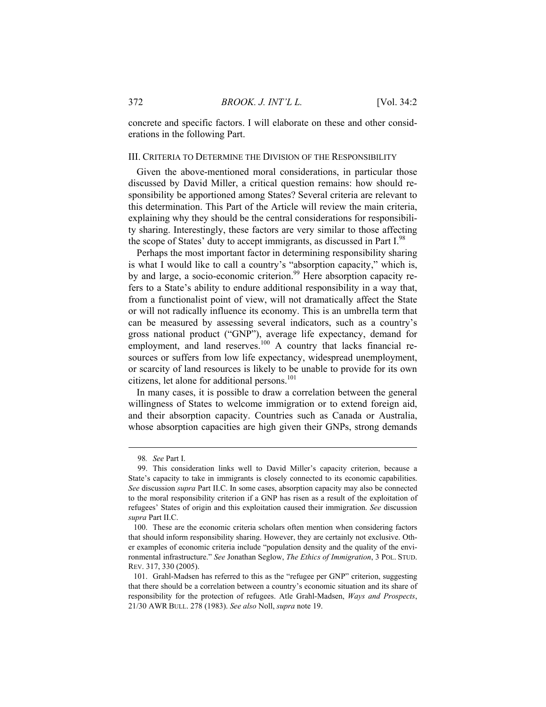concrete and specific factors. I will elaborate on these and other considerations in the following Part.

#### III. CRITERIA TO DETERMINE THE DIVISION OF THE RESPONSIBILITY

Given the above-mentioned moral considerations, in particular those discussed by David Miller, a critical question remains: how should responsibility be apportioned among States? Several criteria are relevant to this determination. This Part of the Article will review the main criteria, explaining why they should be the central considerations for responsibility sharing. Interestingly, these factors are very similar to those affecting the scope of States' duty to accept immigrants, as discussed in Part I.<sup>98</sup>

Perhaps the most important factor in determining responsibility sharing is what I would like to call a country's "absorption capacity," which is, by and large, a socio-economic criterion.<sup>99</sup> Here absorption capacity refers to a State's ability to endure additional responsibility in a way that, from a functionalist point of view, will not dramatically affect the State or will not radically influence its economy. This is an umbrella term that can be measured by assessing several indicators, such as a country's gross national product ("GNP"), average life expectancy, demand for employment, and land reserves. $100$  A country that lacks financial resources or suffers from low life expectancy, widespread unemployment, or scarcity of land resources is likely to be unable to provide for its own citizens, let alone for additional persons.<sup>101</sup>

In many cases, it is possible to draw a correlation between the general willingness of States to welcome immigration or to extend foreign aid, and their absorption capacity. Countries such as Canada or Australia, whose absorption capacities are high given their GNPs, strong demands

<sup>98</sup>*. See* Part I.

 <sup>99.</sup> This consideration links well to David Miller's capacity criterion, because a State's capacity to take in immigrants is closely connected to its economic capabilities. *See* discussion *supra* Part II.C. In some cases, absorption capacity may also be connected to the moral responsibility criterion if a GNP has risen as a result of the exploitation of refugees' States of origin and this exploitation caused their immigration. *See* discussion *supra* Part II.C.

 <sup>100.</sup> These are the economic criteria scholars often mention when considering factors that should inform responsibility sharing. However, they are certainly not exclusive. Other examples of economic criteria include "population density and the quality of the environmental infrastructure." *See* Jonathan Seglow, *The Ethics of Immigration*, 3 POL. STUD. REV. 317, 330 (2005).

 <sup>101.</sup> Grahl-Madsen has referred to this as the "refugee per GNP" criterion, suggesting that there should be a correlation between a country's economic situation and its share of responsibility for the protection of refugees. Atle Grahl-Madsen, *Ways and Prospects*, 21/30 AWR BULL. 278 (1983). *See also* Noll, *supra* note 19.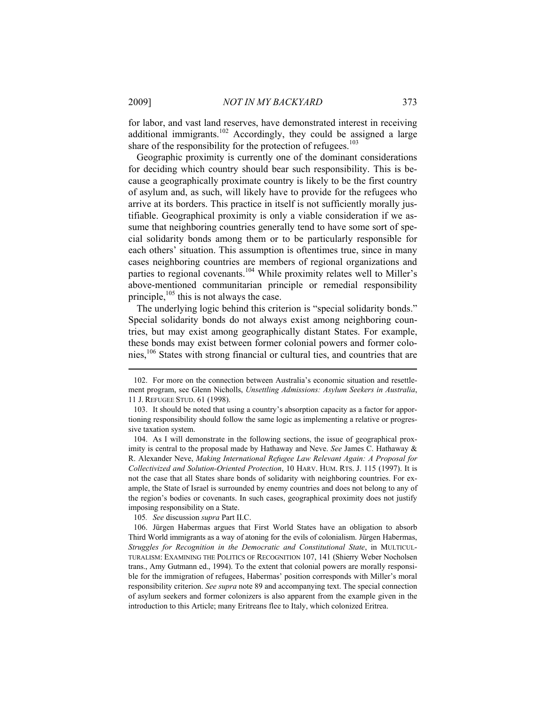for labor, and vast land reserves, have demonstrated interest in receiving additional immigrants.<sup>102</sup> Accordingly, they could be assigned a large share of the responsibility for the protection of refugees. $103$ 

Geographic proximity is currently one of the dominant considerations for deciding which country should bear such responsibility. This is because a geographically proximate country is likely to be the first country of asylum and, as such, will likely have to provide for the refugees who arrive at its borders. This practice in itself is not sufficiently morally justifiable. Geographical proximity is only a viable consideration if we assume that neighboring countries generally tend to have some sort of special solidarity bonds among them or to be particularly responsible for each others' situation. This assumption is oftentimes true, since in many cases neighboring countries are members of regional organizations and parties to regional covenants.<sup>104</sup> While proximity relates well to Miller's above-mentioned communitarian principle or remedial responsibility principle, $105$  this is not always the case.

The underlying logic behind this criterion is "special solidarity bonds." Special solidarity bonds do not always exist among neighboring countries, but may exist among geographically distant States. For example, these bonds may exist between former colonial powers and former colonies,106 States with strong financial or cultural ties, and countries that are

105*. See* discussion *supra* Part II.C.

 <sup>102.</sup> For more on the connection between Australia's economic situation and resettlement program, see Glenn Nicholls, *Unsettling Admissions: Asylum Seekers in Australia*, 11 J. REFUGEE STUD. 61 (1998).

 <sup>103.</sup> It should be noted that using a country's absorption capacity as a factor for apportioning responsibility should follow the same logic as implementing a relative or progressive taxation system.

 <sup>104.</sup> As I will demonstrate in the following sections, the issue of geographical proximity is central to the proposal made by Hathaway and Neve. *See* James C. Hathaway & R. Alexander Neve, *Making International Refugee Law Relevant Again: A Proposal for Collectivized and Solution-Oriented Protection*, 10 HARV. HUM. RTS. J. 115 (1997). It is not the case that all States share bonds of solidarity with neighboring countries. For example, the State of Israel is surrounded by enemy countries and does not belong to any of the region's bodies or covenants. In such cases, geographical proximity does not justify imposing responsibility on a State.

 <sup>106.</sup> Jürgen Habermas argues that First World States have an obligation to absorb Third World immigrants as a way of atoning for the evils of colonialism. Jürgen Habermas, *Struggles for Recognition in the Democratic and Constitutional State*, in MULTICUL-TURALISM: EXAMINING THE POLITICS OF RECOGNITION 107, 141 (Shierry Weber Nocholsen trans., Amy Gutmann ed., 1994). To the extent that colonial powers are morally responsible for the immigration of refugees, Habermas' position corresponds with Miller's moral responsibility criterion. *See supra* note 89 and accompanying text. The special connection of asylum seekers and former colonizers is also apparent from the example given in the introduction to this Article; many Eritreans flee to Italy, which colonized Eritrea.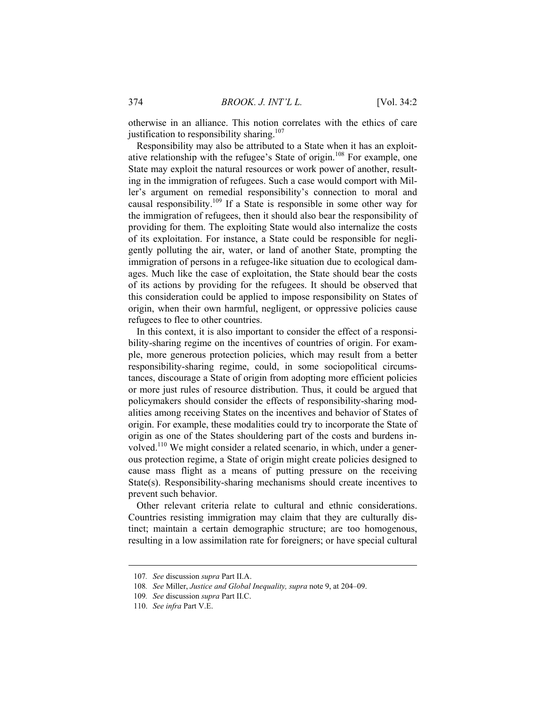otherwise in an alliance. This notion correlates with the ethics of care justification to responsibility sharing.<sup>107</sup>

Responsibility may also be attributed to a State when it has an exploitative relationship with the refugee's State of origin.<sup>108</sup> For example, one State may exploit the natural resources or work power of another, resulting in the immigration of refugees. Such a case would comport with Miller's argument on remedial responsibility's connection to moral and causal responsibility.109 If a State is responsible in some other way for the immigration of refugees, then it should also bear the responsibility of providing for them. The exploiting State would also internalize the costs of its exploitation. For instance, a State could be responsible for negligently polluting the air, water, or land of another State, prompting the immigration of persons in a refugee-like situation due to ecological damages. Much like the case of exploitation, the State should bear the costs of its actions by providing for the refugees. It should be observed that this consideration could be applied to impose responsibility on States of origin, when their own harmful, negligent, or oppressive policies cause refugees to flee to other countries.

In this context, it is also important to consider the effect of a responsibility-sharing regime on the incentives of countries of origin. For example, more generous protection policies, which may result from a better responsibility-sharing regime, could, in some sociopolitical circumstances, discourage a State of origin from adopting more efficient policies or more just rules of resource distribution. Thus, it could be argued that policymakers should consider the effects of responsibility-sharing modalities among receiving States on the incentives and behavior of States of origin. For example, these modalities could try to incorporate the State of origin as one of the States shouldering part of the costs and burdens involved.110 We might consider a related scenario, in which, under a generous protection regime, a State of origin might create policies designed to cause mass flight as a means of putting pressure on the receiving State(s). Responsibility-sharing mechanisms should create incentives to prevent such behavior.

Other relevant criteria relate to cultural and ethnic considerations. Countries resisting immigration may claim that they are culturally distinct; maintain a certain demographic structure; are too homogenous, resulting in a low assimilation rate for foreigners; or have special cultural

<sup>107</sup>*. See* discussion *supra* Part II.A.

<sup>108</sup>*. See* Miller, *Justice and Global Inequality, supra* note 9, at 204–09.

<sup>109</sup>*. See* discussion *supra* Part II.C.

 <sup>110.</sup> *See infra* Part V.E.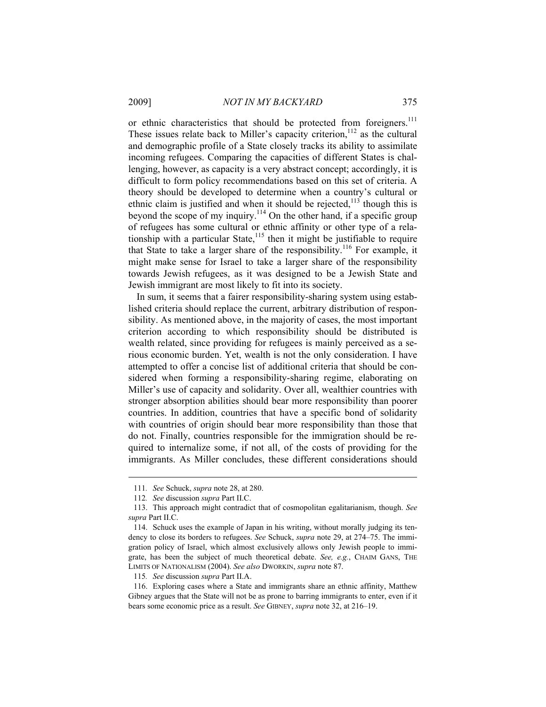2009] *NOT IN MY BACKYARD* 375

or ethnic characteristics that should be protected from foreigners.<sup>111</sup> These issues relate back to Miller's capacity criterion,  $112$  as the cultural and demographic profile of a State closely tracks its ability to assimilate incoming refugees. Comparing the capacities of different States is challenging, however, as capacity is a very abstract concept; accordingly, it is difficult to form policy recommendations based on this set of criteria. A theory should be developed to determine when a country's cultural or ethnic claim is justified and when it should be rejected,<sup>113</sup> though this is beyond the scope of my inquiry.<sup>114</sup> On the other hand, if a specific group of refugees has some cultural or ethnic affinity or other type of a relationship with a particular State, $115$  then it might be justifiable to require that State to take a larger share of the responsibility.<sup>116</sup> For example, it might make sense for Israel to take a larger share of the responsibility towards Jewish refugees, as it was designed to be a Jewish State and Jewish immigrant are most likely to fit into its society.

In sum, it seems that a fairer responsibility-sharing system using established criteria should replace the current, arbitrary distribution of responsibility. As mentioned above, in the majority of cases, the most important criterion according to which responsibility should be distributed is wealth related, since providing for refugees is mainly perceived as a serious economic burden. Yet, wealth is not the only consideration. I have attempted to offer a concise list of additional criteria that should be considered when forming a responsibility-sharing regime, elaborating on Miller's use of capacity and solidarity. Over all, wealthier countries with stronger absorption abilities should bear more responsibility than poorer countries. In addition, countries that have a specific bond of solidarity with countries of origin should bear more responsibility than those that do not. Finally, countries responsible for the immigration should be required to internalize some, if not all, of the costs of providing for the immigrants. As Miller concludes, these different considerations should

<sup>111</sup>*. See* Schuck, *supra* note 28, at 280.

<sup>112</sup>*. See* discussion *supra* Part II.C.

 <sup>113.</sup> This approach might contradict that of cosmopolitan egalitarianism, though. *See supra* Part II.C.

 <sup>114.</sup> Schuck uses the example of Japan in his writing, without morally judging its tendency to close its borders to refugees. *See* Schuck, *supra* note 29, at 274–75. The immigration policy of Israel, which almost exclusively allows only Jewish people to immigrate, has been the subject of much theoretical debate. *See, e.g.*, CHAIM GANS, THE LIMITS OF NATIONALISM (2004). *See also* DWORKIN, *supra* note 87.

<sup>115</sup>*. See* discussion *supra* Part II.A.

 <sup>116.</sup> Exploring cases where a State and immigrants share an ethnic affinity, Matthew Gibney argues that the State will not be as prone to barring immigrants to enter, even if it bears some economic price as a result. *See* GIBNEY, *supra* note 32, at 216–19.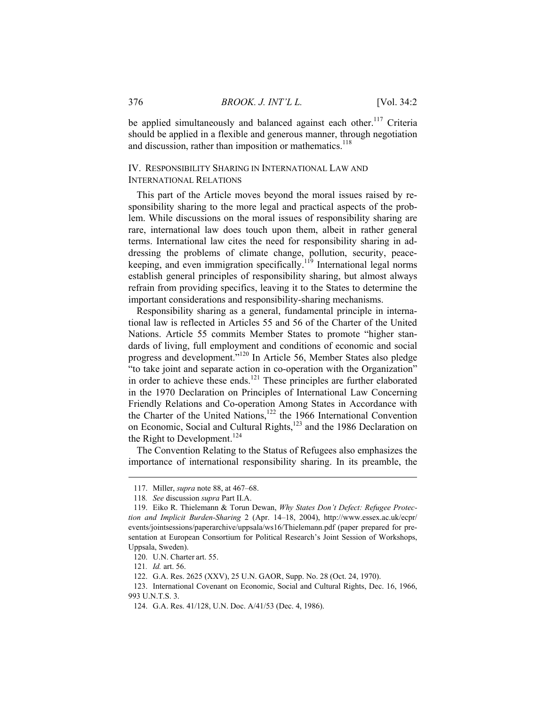be applied simultaneously and balanced against each other.<sup>117</sup> Criteria should be applied in a flexible and generous manner, through negotiation and discussion, rather than imposition or mathematics.<sup>118</sup>

## IV. RESPONSIBILITY SHARING IN INTERNATIONAL LAW AND INTERNATIONAL RELATIONS

This part of the Article moves beyond the moral issues raised by responsibility sharing to the more legal and practical aspects of the problem. While discussions on the moral issues of responsibility sharing are rare, international law does touch upon them, albeit in rather general terms. International law cites the need for responsibility sharing in addressing the problems of climate change, pollution, security, peacekeeping, and even immigration specifically.<sup>119</sup> International legal norms establish general principles of responsibility sharing, but almost always refrain from providing specifics, leaving it to the States to determine the important considerations and responsibility-sharing mechanisms.

Responsibility sharing as a general, fundamental principle in international law is reflected in Articles 55 and 56 of the Charter of the United Nations. Article 55 commits Member States to promote "higher standards of living, full employment and conditions of economic and social progress and development."<sup>120</sup> In Article 56, Member States also pledge "to take joint and separate action in co-operation with the Organization" in order to achieve these ends.<sup>121</sup> These principles are further elaborated in the 1970 Declaration on Principles of International Law Concerning Friendly Relations and Co-operation Among States in Accordance with the Charter of the United Nations,<sup>122</sup> the 1966 International Convention on Economic, Social and Cultural Rights,<sup>123</sup> and the 1986 Declaration on the Right to Development.<sup>124</sup>

The Convention Relating to the Status of Refugees also emphasizes the importance of international responsibility sharing. In its preamble, the

 <sup>117.</sup> Miller, *supra* note 88, at 467–68.

<sup>118</sup>*. See* discussion *supra* Part II.A.

 <sup>119.</sup> Eiko R. Thielemann & Torun Dewan, *Why States Don't Defect: Refugee Protection and Implicit Burden-Sharing* 2 (Apr. 14–18, 2004), http://www.essex.ac.uk/ecpr/ events/jointsessions/paperarchive/uppsala/ws16/Thielemann.pdf (paper prepared for presentation at European Consortium for Political Research's Joint Session of Workshops, Uppsala, Sweden).

 <sup>120.</sup> U.N. Charter art. 55.

<sup>121</sup>*. Id.* art. 56.

 <sup>122.</sup> G.A. Res. 2625 (XXV), 25 U.N. GAOR, Supp. No. 28 (Oct. 24, 1970).

 <sup>123.</sup> International Covenant on Economic, Social and Cultural Rights, Dec. 16, 1966, 993 U.N.T.S. 3.

 <sup>124.</sup> G.A. Res. 41/128, U.N. Doc. A/41/53 (Dec. 4, 1986).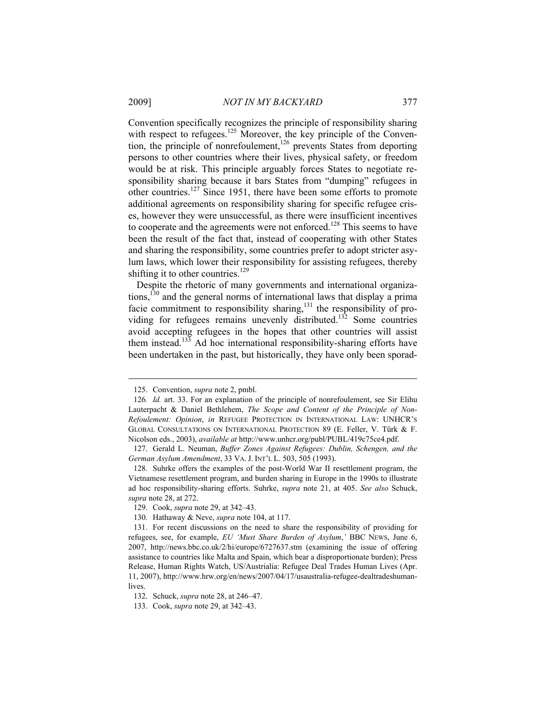Convention specifically recognizes the principle of responsibility sharing with respect to refugees.<sup>125</sup> Moreover, the key principle of the Convention, the principle of nonrefoulement,<sup>126</sup> prevents States from deporting persons to other countries where their lives, physical safety, or freedom would be at risk. This principle arguably forces States to negotiate responsibility sharing because it bars States from "dumping" refugees in other countries.127 Since 1951, there have been some efforts to promote additional agreements on responsibility sharing for specific refugee crises, however they were unsuccessful, as there were insufficient incentives to cooperate and the agreements were not enforced.<sup>128</sup> This seems to have been the result of the fact that, instead of cooperating with other States and sharing the responsibility, some countries prefer to adopt stricter asylum laws, which lower their responsibility for assisting refugees, thereby shifting it to other countries.<sup>129</sup>

Despite the rhetoric of many governments and international organizations,130 and the general norms of international laws that display a prima facie commitment to responsibility sharing,<sup>131</sup> the responsibility of providing for refugees remains unevenly distributed.<sup>132</sup> Some countries avoid accepting refugees in the hopes that other countries will assist them instead.<sup>133</sup> Ad hoc international responsibility-sharing efforts have been undertaken in the past, but historically, they have only been sporad-

 <sup>125.</sup> Convention, *supra* note 2, pmbl.

<sup>126</sup>*. Id.* art. 33. For an explanation of the principle of nonrefoulement, see Sir Elihu Lauterpacht & Daniel Bethlehem, *The Scope and Content of the Principle of Non-Refoulement: Opinion*, *in* REFUGEE PROTECTION IN INTERNATIONAL LAW: UNHCR'S GLOBAL CONSULTATIONS ON INTERNATIONAL PROTECTION 89 (E. Feller, V. Türk & F. Nicolson eds., 2003), *available at* http://www.unhcr.org/publ/PUBL/419c75ce4.pdf.

 <sup>127.</sup> Gerald L. Neuman, *Buffer Zones Against Refugees: Dublin, Schengen, and the German Asylum Amendment*, 33 VA. J. INT'L L. 503, 505 (1993).

 <sup>128.</sup> Suhrke offers the examples of the post-World War II resettlement program, the Vietnamese resettlement program, and burden sharing in Europe in the 1990s to illustrate ad hoc responsibility-sharing efforts. Suhrke, *supra* note 21, at 405. *See also* Schuck, *supra* note 28, at 272.

 <sup>129.</sup> Cook, *supra* note 29, at 342–43.

 <sup>130.</sup> Hathaway & Neve, *supra* note 104, at 117.

 <sup>131.</sup> For recent discussions on the need to share the responsibility of providing for refugees, see, for example, *EU 'Must Share Burden of Asylum*,*'* BBC NEWS, June 6, 2007, http://news.bbc.co.uk/2/hi/europe/6727637.stm (examining the issue of offering assistance to countries like Malta and Spain, which bear a disproportionate burden); Press Release, Human Rights Watch, US/Austrialia: Refugee Deal Trades Human Lives (Apr. 11, 2007), http://www.hrw.org/en/news/2007/04/17/usaustralia-refugee-dealtradeshumanlives.

 <sup>132.</sup> Schuck, *supra* note 28, at 246–47.

 <sup>133.</sup> Cook, *supra* note 29, at 342–43.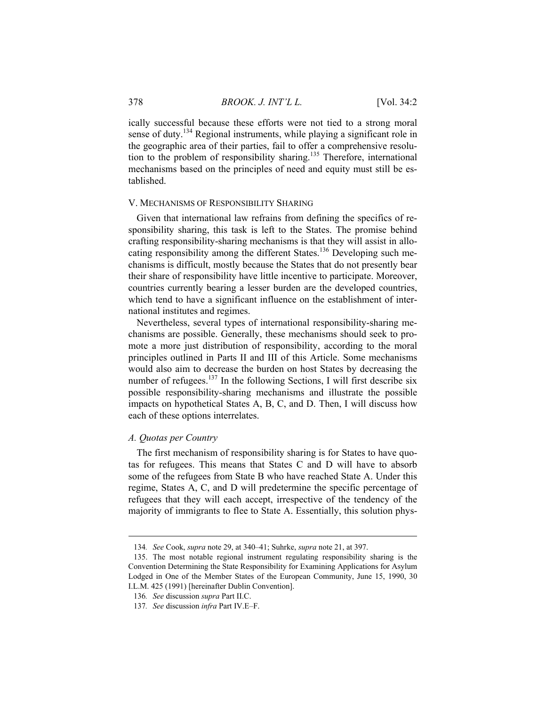ically successful because these efforts were not tied to a strong moral sense of duty.<sup>134</sup> Regional instruments, while playing a significant role in the geographic area of their parties, fail to offer a comprehensive resolution to the problem of responsibility sharing.<sup>135</sup> Therefore, international mechanisms based on the principles of need and equity must still be established.

#### V. MECHANISMS OF RESPONSIBILITY SHARING

Given that international law refrains from defining the specifics of responsibility sharing, this task is left to the States. The promise behind crafting responsibility-sharing mechanisms is that they will assist in allocating responsibility among the different States.<sup>136</sup> Developing such mechanisms is difficult, mostly because the States that do not presently bear their share of responsibility have little incentive to participate. Moreover, countries currently bearing a lesser burden are the developed countries, which tend to have a significant influence on the establishment of international institutes and regimes.

Nevertheless, several types of international responsibility-sharing mechanisms are possible. Generally, these mechanisms should seek to promote a more just distribution of responsibility, according to the moral principles outlined in Parts II and III of this Article. Some mechanisms would also aim to decrease the burden on host States by decreasing the number of refugees.<sup>137</sup> In the following Sections, I will first describe six possible responsibility-sharing mechanisms and illustrate the possible impacts on hypothetical States A, B, C, and D. Then, I will discuss how each of these options interrelates.

#### *A. Quotas per Country*

 $\overline{a}$ 

The first mechanism of responsibility sharing is for States to have quotas for refugees. This means that States C and D will have to absorb some of the refugees from State B who have reached State A. Under this regime, States A, C, and D will predetermine the specific percentage of refugees that they will each accept, irrespective of the tendency of the majority of immigrants to flee to State A. Essentially, this solution phys-

<sup>134</sup>*. See* Cook, *supra* note 29, at 340–41; Suhrke, *supra* note 21, at 397.

 <sup>135.</sup> The most notable regional instrument regulating responsibility sharing is the Convention Determining the State Responsibility for Examining Applications for Asylum Lodged in One of the Member States of the European Community, June 15, 1990, 30 I.L.M. 425 (1991) [hereinafter Dublin Convention].

<sup>136</sup>*. See* discussion *supra* Part II.C.

<sup>137</sup>*. See* discussion *infra* Part IV.E–F.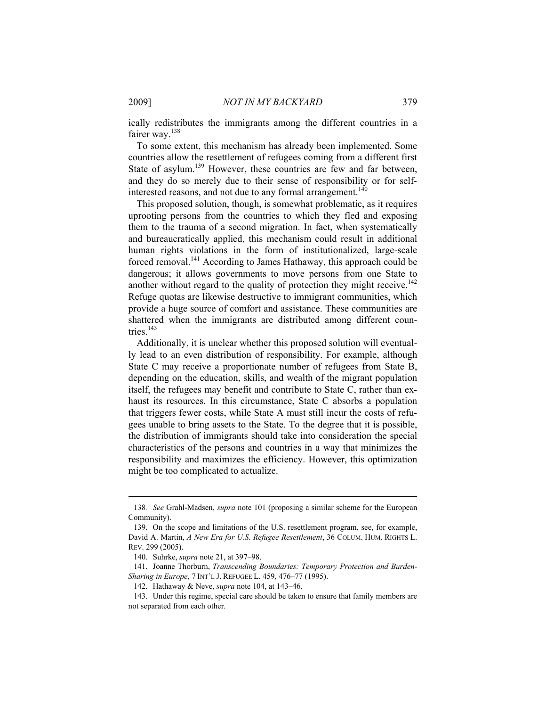ically redistributes the immigrants among the different countries in a fairer way.<sup>138</sup>

To some extent, this mechanism has already been implemented. Some countries allow the resettlement of refugees coming from a different first State of asylum.<sup>139</sup> However, these countries are few and far between, and they do so merely due to their sense of responsibility or for selfinterested reasons, and not due to any formal arrangement.<sup>140</sup>

This proposed solution, though, is somewhat problematic, as it requires uprooting persons from the countries to which they fled and exposing them to the trauma of a second migration. In fact, when systematically and bureaucratically applied, this mechanism could result in additional human rights violations in the form of institutionalized, large-scale forced removal.141 According to James Hathaway, this approach could be dangerous; it allows governments to move persons from one State to another without regard to the quality of protection they might receive.<sup>142</sup> Refuge quotas are likewise destructive to immigrant communities, which provide a huge source of comfort and assistance. These communities are shattered when the immigrants are distributed among different countries<sup>143</sup>

Additionally, it is unclear whether this proposed solution will eventually lead to an even distribution of responsibility. For example, although State C may receive a proportionate number of refugees from State B, depending on the education, skills, and wealth of the migrant population itself, the refugees may benefit and contribute to State C, rather than exhaust its resources. In this circumstance, State C absorbs a population that triggers fewer costs, while State A must still incur the costs of refugees unable to bring assets to the State. To the degree that it is possible, the distribution of immigrants should take into consideration the special characteristics of the persons and countries in a way that minimizes the responsibility and maximizes the efficiency. However, this optimization might be too complicated to actualize.

<sup>138</sup>*. See* Grahl-Madsen, *supra* note 101 (proposing a similar scheme for the European Community).

 <sup>139.</sup> On the scope and limitations of the U.S. resettlement program, see, for example, David A. Martin, *A New Era for U.S. Refugee Resettlement*, 36 COLUM. HUM. RIGHTS L. REV. 299 (2005).

 <sup>140.</sup> Suhrke, *supra* note 21, at 397–98.

 <sup>141.</sup> Joanne Thorburn, *Transcending Boundaries: Temporary Protection and Burden-Sharing in Europe*, 7 INT'L J. REFUGEE L. 459, 476–77 (1995).

 <sup>142.</sup> Hathaway & Neve, *supra* note 104, at 143–46.

 <sup>143.</sup> Under this regime, special care should be taken to ensure that family members are not separated from each other.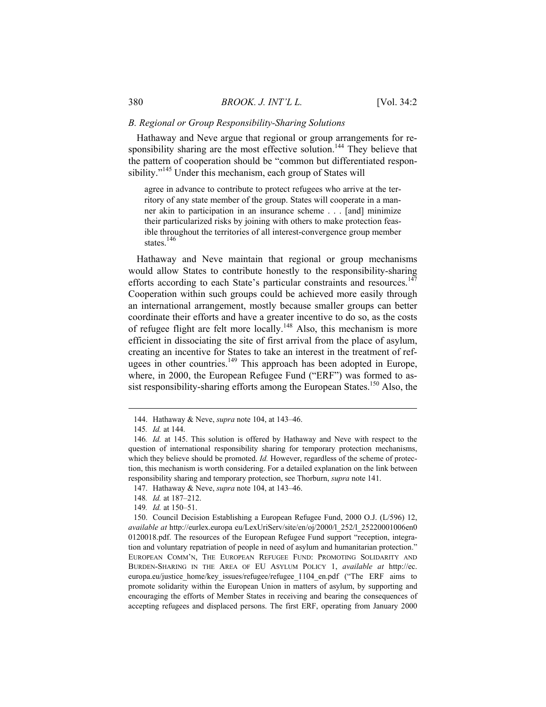#### *B. Regional or Group Responsibility-Sharing Solutions*

Hathaway and Neve argue that regional or group arrangements for responsibility sharing are the most effective solution.<sup>144</sup> They believe that the pattern of cooperation should be "common but differentiated responsibility."<sup>145</sup> Under this mechanism, each group of States will

agree in advance to contribute to protect refugees who arrive at the territory of any state member of the group. States will cooperate in a manner akin to participation in an insurance scheme . . . [and] minimize their particularized risks by joining with others to make protection feasible throughout the territories of all interest-convergence group member states<sup>146</sup>

Hathaway and Neve maintain that regional or group mechanisms would allow States to contribute honestly to the responsibility-sharing efforts according to each State's particular constraints and resources.<sup>147</sup> Cooperation within such groups could be achieved more easily through an international arrangement, mostly because smaller groups can better coordinate their efforts and have a greater incentive to do so, as the costs of refugee flight are felt more locally.<sup>148</sup> Also, this mechanism is more efficient in dissociating the site of first arrival from the place of asylum, creating an incentive for States to take an interest in the treatment of refugees in other countries.<sup>149</sup> This approach has been adopted in Europe, where, in 2000, the European Refugee Fund ("ERF") was formed to assist responsibility-sharing efforts among the European States.<sup>150</sup> Also, the

 <sup>144.</sup> Hathaway & Neve, *supra* note 104, at 143–46.

<sup>145</sup>*. Id.* at 144.

<sup>146</sup>*. Id.* at 145. This solution is offered by Hathaway and Neve with respect to the question of international responsibility sharing for temporary protection mechanisms, which they believe should be promoted. *Id.* However, regardless of the scheme of protection, this mechanism is worth considering. For a detailed explanation on the link between responsibility sharing and temporary protection, see Thorburn, *supra* note 141.

 <sup>147.</sup> Hathaway & Neve, *supra* note 104, at 143–46.

<sup>148</sup>*. Id.* at 187–212.

<sup>149</sup>*. Id.* at 150–51.

 <sup>150.</sup> Council Decision Establishing a European Refugee Fund, 2000 O.J. (L/596) 12, *available at* http://eurlex.europa eu/LexUriServ/site/en/oj/2000/l\_252/l\_25220001006en0 0120018.pdf. The resources of the European Refugee Fund support "reception, integration and voluntary repatriation of people in need of asylum and humanitarian protection." EUROPEAN COMM'N, THE EUROPEAN REFUGEE FUND: PROMOTING SOLIDARITY AND BURDEN-SHARING IN THE AREA OF EU ASYLUM POLICY 1, *available at* http://ec. europa.eu/justice\_home/key\_issues/refugee/refugee\_1104\_en.pdf ("The ERF aims to promote solidarity within the European Union in matters of asylum, by supporting and encouraging the efforts of Member States in receiving and bearing the consequences of accepting refugees and displaced persons. The first ERF, operating from January 2000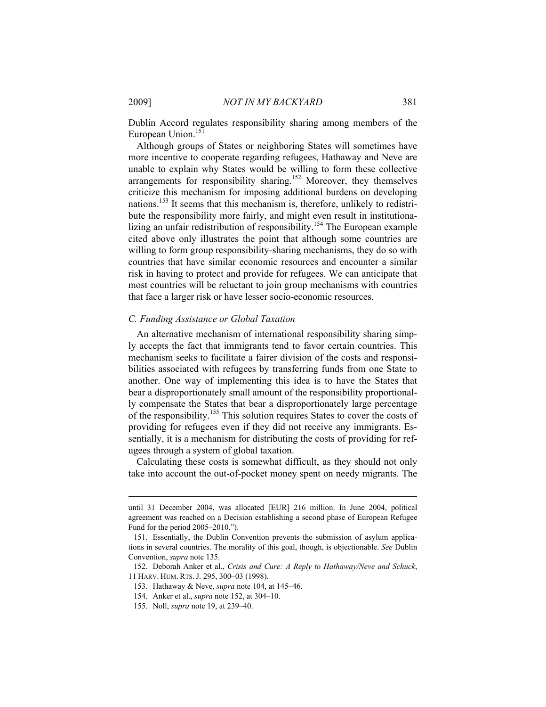Dublin Accord regulates responsibility sharing among members of the European Union.<sup>151</sup>

Although groups of States or neighboring States will sometimes have more incentive to cooperate regarding refugees, Hathaway and Neve are unable to explain why States would be willing to form these collective arrangements for responsibility sharing.<sup>152</sup> Moreover, they themselves criticize this mechanism for imposing additional burdens on developing nations.<sup>153</sup> It seems that this mechanism is, therefore, unlikely to redistribute the responsibility more fairly, and might even result in institutionalizing an unfair redistribution of responsibility.<sup>154</sup> The European example cited above only illustrates the point that although some countries are willing to form group responsibility-sharing mechanisms, they do so with countries that have similar economic resources and encounter a similar risk in having to protect and provide for refugees. We can anticipate that most countries will be reluctant to join group mechanisms with countries that face a larger risk or have lesser socio-economic resources.

#### *C. Funding Assistance or Global Taxation*

An alternative mechanism of international responsibility sharing simply accepts the fact that immigrants tend to favor certain countries. This mechanism seeks to facilitate a fairer division of the costs and responsibilities associated with refugees by transferring funds from one State to another. One way of implementing this idea is to have the States that bear a disproportionately small amount of the responsibility proportionally compensate the States that bear a disproportionately large percentage of the responsibility.155 This solution requires States to cover the costs of providing for refugees even if they did not receive any immigrants. Essentially, it is a mechanism for distributing the costs of providing for refugees through a system of global taxation.

Calculating these costs is somewhat difficult, as they should not only take into account the out-of-pocket money spent on needy migrants. The

until 31 December 2004, was allocated [EUR] 216 million. In June 2004, political agreement was reached on a Decision establishing a second phase of European Refugee Fund for the period 2005–2010.").

 <sup>151.</sup> Essentially, the Dublin Convention prevents the submission of asylum applications in several countries. The morality of this goal, though, is objectionable. *See* Dublin Convention, *supra* note 135.

 <sup>152.</sup> Deborah Anker et al., *Crisis and Cure: A Reply to Hathaway/Neve and Schuck*, 11 HARV. HUM. RTS. J. 295, 300–03 (1998).

 <sup>153.</sup> Hathaway & Neve, *supra* note 104, at 145–46.

 <sup>154.</sup> Anker et al., *supra* note 152, at 304–10.

 <sup>155.</sup> Noll, *supra* note 19, at 239–40.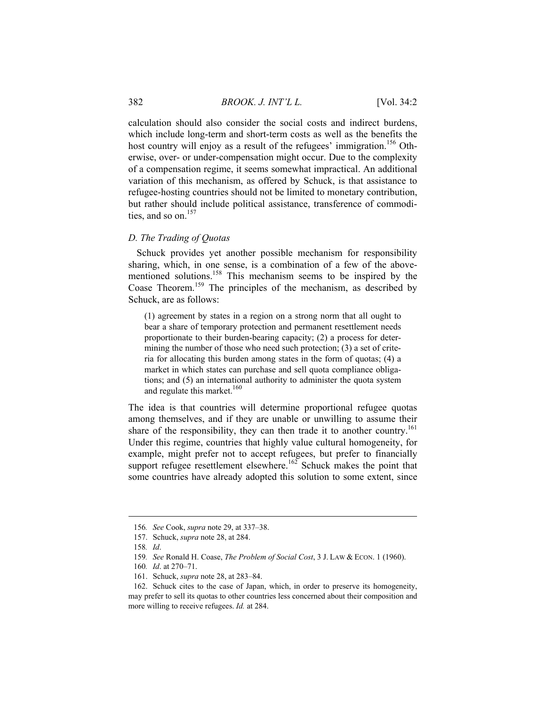calculation should also consider the social costs and indirect burdens, which include long-term and short-term costs as well as the benefits the host country will enjoy as a result of the refugees' immigration.<sup>156</sup> Otherwise, over- or under-compensation might occur. Due to the complexity of a compensation regime, it seems somewhat impractical. An additional variation of this mechanism, as offered by Schuck, is that assistance to refugee-hosting countries should not be limited to monetary contribution, but rather should include political assistance, transference of commodities, and so on.<sup>157</sup>

#### *D. The Trading of Quotas*

Schuck provides yet another possible mechanism for responsibility sharing, which, in one sense, is a combination of a few of the abovementioned solutions.158 This mechanism seems to be inspired by the Coase Theorem.159 The principles of the mechanism, as described by Schuck, are as follows:

(1) agreement by states in a region on a strong norm that all ought to bear a share of temporary protection and permanent resettlement needs proportionate to their burden-bearing capacity; (2) a process for determining the number of those who need such protection; (3) a set of criteria for allocating this burden among states in the form of quotas; (4) a market in which states can purchase and sell quota compliance obligations; and (5) an international authority to administer the quota system and regulate this market.<sup>160</sup>

The idea is that countries will determine proportional refugee quotas among themselves, and if they are unable or unwilling to assume their share of the responsibility, they can then trade it to another country.<sup>161</sup> Under this regime, countries that highly value cultural homogeneity, for example, might prefer not to accept refugees, but prefer to financially support refugee resettlement elsewhere.<sup>162</sup> Schuck makes the point that some countries have already adopted this solution to some extent, since

<sup>156</sup>*. See* Cook, *supra* note 29, at 337–38.

 <sup>157.</sup> Schuck, *supra* note 28, at 284.

<sup>158</sup>*. Id*.

<sup>159</sup>*. See* Ronald H. Coase, *The Problem of Social Cost*, 3 J. LAW & ECON. 1 (1960).

<sup>160</sup>*. Id*. at 270–71.

 <sup>161.</sup> Schuck, *supra* note 28, at 283–84.

 <sup>162.</sup> Schuck cites to the case of Japan, which, in order to preserve its homogeneity, may prefer to sell its quotas to other countries less concerned about their composition and more willing to receive refugees. *Id.* at 284.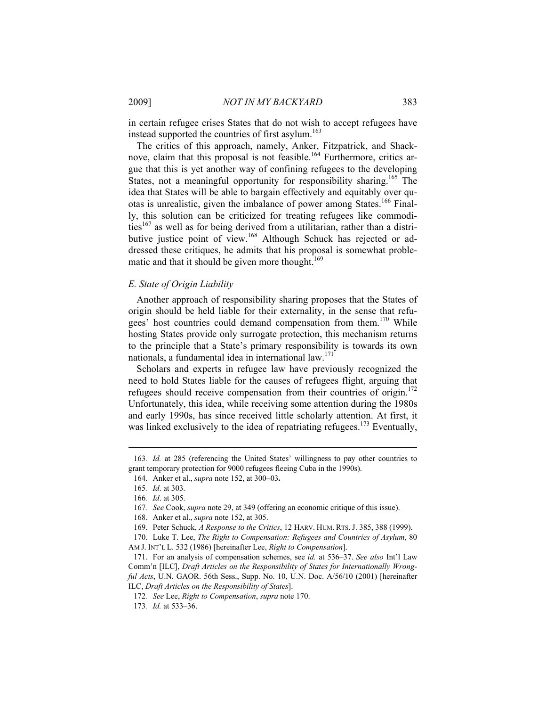in certain refugee crises States that do not wish to accept refugees have instead supported the countries of first asylum.<sup>163</sup>

The critics of this approach, namely, Anker, Fitzpatrick, and Shacknove, claim that this proposal is not feasible.<sup>164</sup> Furthermore, critics argue that this is yet another way of confining refugees to the developing States, not a meaningful opportunity for responsibility sharing.<sup>165</sup> The idea that States will be able to bargain effectively and equitably over quotas is unrealistic, given the imbalance of power among States.<sup>166</sup> Finally, this solution can be criticized for treating refugees like commodities<sup>167</sup> as well as for being derived from a utilitarian, rather than a distributive justice point of view.<sup>168</sup> Although Schuck has rejected or addressed these critiques, he admits that his proposal is somewhat problematic and that it should be given more thought. $169$ 

#### *E. State of Origin Liability*

Another approach of responsibility sharing proposes that the States of origin should be held liable for their externality, in the sense that refugees' host countries could demand compensation from them.<sup>170</sup> While hosting States provide only surrogate protection, this mechanism returns to the principle that a State's primary responsibility is towards its own nationals, a fundamental idea in international law.<sup>171</sup>

Scholars and experts in refugee law have previously recognized the need to hold States liable for the causes of refugees flight, arguing that refugees should receive compensation from their countries of origin.<sup>172</sup> Unfortunately, this idea, while receiving some attention during the 1980s and early 1990s, has since received little scholarly attention. At first, it was linked exclusively to the idea of repatriating refugees.<sup>173</sup> Eventually,

<sup>163</sup>*. Id.* at 285 (referencing the United States' willingness to pay other countries to grant temporary protection for 9000 refugees fleeing Cuba in the 1990s).

 <sup>164.</sup> Anker et al., *supra* note 152, at 300–03**.**

<sup>165</sup>*. Id*. at 303.

<sup>166</sup>*. Id*. at 305.

<sup>167</sup>*. See* Cook, *supra* note 29, at 349 (offering an economic critique of this issue).

 <sup>168.</sup> Anker et al., *supra* note 152, at 305.

 <sup>169.</sup> Peter Schuck, *A Response to the Critics*, 12 HARV. HUM. RTS. J. 385, 388 (1999).

 <sup>170.</sup> Luke T. Lee, *The Right to Compensation: Refugees and Countries of Asylum*, 80 AM J. INT'L L. 532 (1986) [hereinafter Lee, *Right to Compensation*].

 <sup>171.</sup> For an analysis of compensation schemes, see *id.* at 536–37. *See also* Int'l Law Comm'n [ILC], *Draft Articles on the Responsibility of States for Internationally Wrongful Acts*, U.N. GAOR. 56th Sess., Supp. No. 10, U.N. Doc. A/56/10 (2001) [hereinafter ILC, *Draft Articles on the Responsibility of States*].

<sup>172</sup>*. See* Lee, *Right to Compensation*, *supra* note 170.

<sup>173</sup>*. Id.* at 533–36.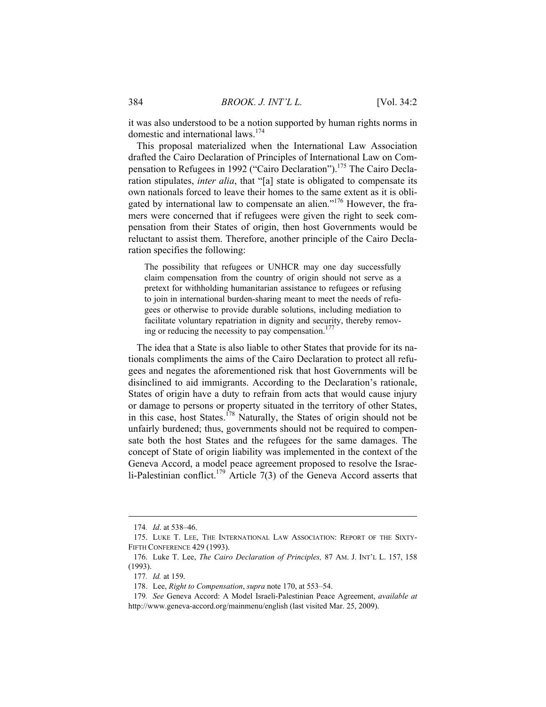it was also understood to be a notion supported by human rights norms in domestic and international laws.<sup>174</sup>

This proposal materialized when the International Law Association drafted the Cairo Declaration of Principles of International Law on Compensation to Refugees in 1992 ("Cairo Declaration").<sup>175</sup> The Cairo Declaration stipulates, *inter alia*, that "[a] state is obligated to compensate its own nationals forced to leave their homes to the same extent as it is obligated by international law to compensate an alien."<sup>176</sup> However, the framers were concerned that if refugees were given the right to seek compensation from their States of origin, then host Governments would be reluctant to assist them. Therefore, another principle of the Cairo Declaration specifies the following:

The possibility that refugees or UNHCR may one day successfully claim compensation from the country of origin should not serve as a pretext for withholding humanitarian assistance to refugees or refusing to join in international burden-sharing meant to meet the needs of refugees or otherwise to provide durable solutions, including mediation to facilitate voluntary repatriation in dignity and security, thereby removing or reducing the necessity to pay compensation.<sup>177</sup>

The idea that a State is also liable to other States that provide for its nationals compliments the aims of the Cairo Declaration to protect all refugees and negates the aforementioned risk that host Governments will be disinclined to aid immigrants. According to the Declaration's rationale, States of origin have a duty to refrain from acts that would cause injury or damage to persons or property situated in the territory of other States, in this case, host States.<sup>178</sup> Naturally, the States of origin should not be unfairly burdened; thus, governments should not be required to compensate both the host States and the refugees for the same damages. The concept of State of origin liability was implemented in the context of the Geneva Accord, a model peace agreement proposed to resolve the Israeli-Palestinian conflict.<sup>179</sup> Article  $7(3)$  of the Geneva Accord asserts that

<sup>174</sup>*. Id*. at 538–46.

 <sup>175.</sup> LUKE T. LEE, THE INTERNATIONAL LAW ASSOCIATION: REPORT OF THE SIXTY-FIFTH CONFERENCE 429 (1993).

 <sup>176.</sup> Luke T. Lee, *The Cairo Declaration of Principles,* 87 AM. J. INT'L L. 157, 158 (1993).

<sup>177</sup>*. Id.* at 159.

 <sup>178.</sup> Lee, *Right to Compensation*, *supra* note 170, at 553–54.

<sup>179</sup>*. See* Geneva Accord: A Model Israeli-Palestinian Peace Agreement, *available at* http://www.geneva-accord.org/mainmenu/english (last visited Mar. 25, 2009).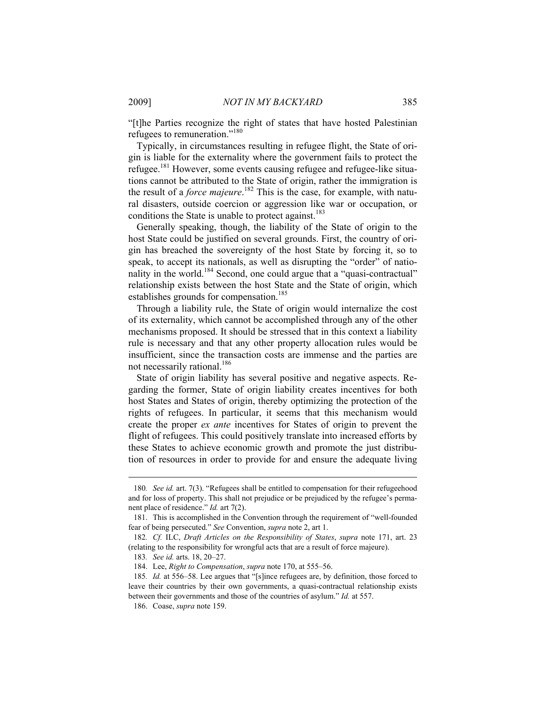"[t]he Parties recognize the right of states that have hosted Palestinian refugees to remuneration."<sup>180</sup>

Typically, in circumstances resulting in refugee flight, the State of origin is liable for the externality where the government fails to protect the refugee.181 However, some events causing refugee and refugee-like situations cannot be attributed to the State of origin, rather the immigration is the result of a *force majeure*. 182 This is the case, for example, with natural disasters, outside coercion or aggression like war or occupation, or conditions the State is unable to protect against.<sup>183</sup>

Generally speaking, though, the liability of the State of origin to the host State could be justified on several grounds. First, the country of origin has breached the sovereignty of the host State by forcing it, so to speak, to accept its nationals, as well as disrupting the "order" of nationality in the world.<sup>184</sup> Second, one could argue that a "quasi-contractual" relationship exists between the host State and the State of origin, which establishes grounds for compensation.<sup>185</sup>

Through a liability rule, the State of origin would internalize the cost of its externality, which cannot be accomplished through any of the other mechanisms proposed. It should be stressed that in this context a liability rule is necessary and that any other property allocation rules would be insufficient, since the transaction costs are immense and the parties are not necessarily rational.<sup>186</sup>

State of origin liability has several positive and negative aspects. Regarding the former, State of origin liability creates incentives for both host States and States of origin, thereby optimizing the protection of the rights of refugees. In particular, it seems that this mechanism would create the proper *ex ante* incentives for States of origin to prevent the flight of refugees. This could positively translate into increased efforts by these States to achieve economic growth and promote the just distribution of resources in order to provide for and ensure the adequate living

<sup>180</sup>*. See id.* art. 7(3). "Refugees shall be entitled to compensation for their refugeehood and for loss of property. This shall not prejudice or be prejudiced by the refugee's permanent place of residence." *Id.* art 7(2).

 <sup>181.</sup> This is accomplished in the Convention through the requirement of "well-founded fear of being persecuted." *See* Convention, *supra* note 2, art 1.

<sup>182</sup>*. Cf.* ILC, *Draft Articles on the Responsibility of States*, *supra* note 171, art. 23 (relating to the responsibility for wrongful acts that are a result of force majeure).

<sup>183</sup>*. See id.* arts. 18, 20–27.

 <sup>184.</sup> Lee, *Right to Compensation*, *supra* note 170, at 555–56.

<sup>185</sup>*. Id.* at 556–58. Lee argues that "[s]ince refugees are, by definition, those forced to leave their countries by their own governments, a quasi-contractual relationship exists between their governments and those of the countries of asylum." *Id.* at 557.

 <sup>186.</sup> Coase, *supra* note 159.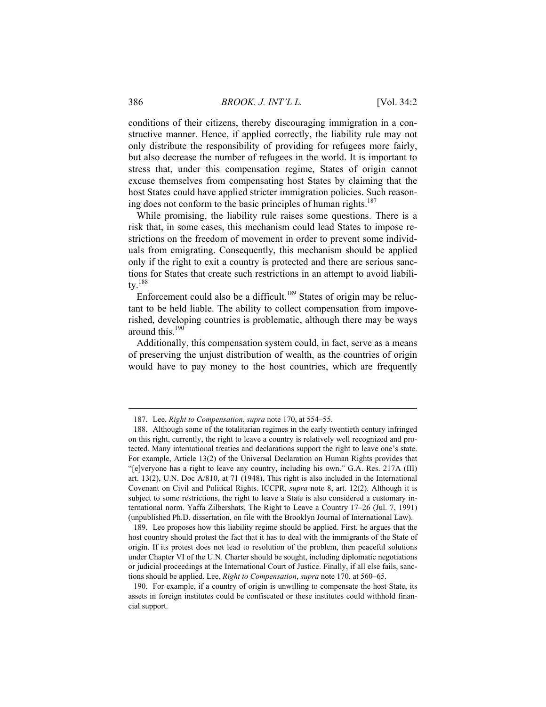conditions of their citizens, thereby discouraging immigration in a constructive manner. Hence, if applied correctly, the liability rule may not only distribute the responsibility of providing for refugees more fairly, but also decrease the number of refugees in the world. It is important to stress that, under this compensation regime, States of origin cannot excuse themselves from compensating host States by claiming that the host States could have applied stricter immigration policies. Such reasoning does not conform to the basic principles of human rights.<sup>187</sup>

While promising, the liability rule raises some questions. There is a risk that, in some cases, this mechanism could lead States to impose restrictions on the freedom of movement in order to prevent some individuals from emigrating. Consequently, this mechanism should be applied only if the right to exit a country is protected and there are serious sanctions for States that create such restrictions in an attempt to avoid liability.188

Enforcement could also be a difficult.<sup>189</sup> States of origin may be reluctant to be held liable. The ability to collect compensation from impoverished, developing countries is problematic, although there may be ways around this.190

Additionally, this compensation system could, in fact, serve as a means of preserving the unjust distribution of wealth, as the countries of origin would have to pay money to the host countries, which are frequently

 <sup>187.</sup> Lee, *Right to Compensation*, *supra* note 170, at 554–55.

 <sup>188.</sup> Although some of the totalitarian regimes in the early twentieth century infringed on this right, currently, the right to leave a country is relatively well recognized and protected. Many international treaties and declarations support the right to leave one's state. For example, Article 13(2) of the Universal Declaration on Human Rights provides that "[e]veryone has a right to leave any country, including his own." G.A. Res. 217A (III) art. 13(2), U.N. Doc A/810, at 71 (1948). This right is also included in the International Covenant on Civil and Political Rights. ICCPR, *supra* note 8, art. 12(2). Although it is subject to some restrictions, the right to leave a State is also considered a customary international norm. Yaffa Zilbershats, The Right to Leave a Country 17–26 (Jul. 7, 1991) (unpublished Ph.D. dissertation, on file with the Brooklyn Journal of International Law).

 <sup>189.</sup> Lee proposes how this liability regime should be applied. First, he argues that the host country should protest the fact that it has to deal with the immigrants of the State of origin. If its protest does not lead to resolution of the problem, then peaceful solutions under Chapter VI of the U.N. Charter should be sought, including diplomatic negotiations or judicial proceedings at the International Court of Justice. Finally, if all else fails, sanctions should be applied. Lee, *Right to Compensation*, *supra* note 170, at 560–65.

 <sup>190.</sup> For example, if a country of origin is unwilling to compensate the host State, its assets in foreign institutes could be confiscated or these institutes could withhold financial support.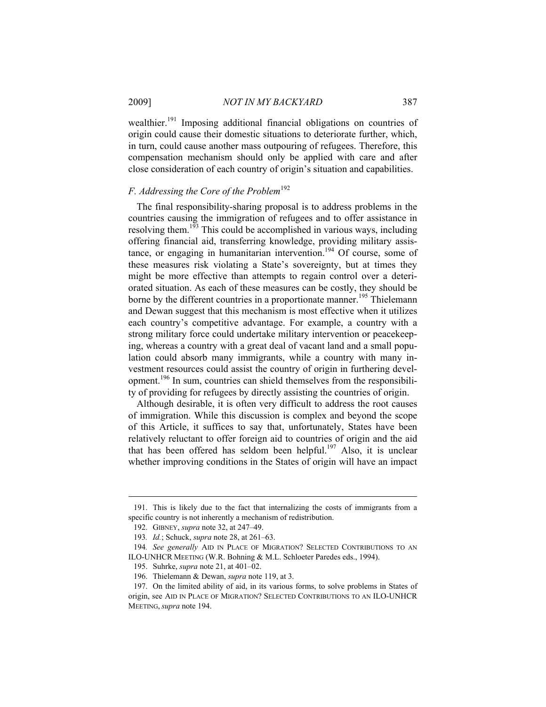wealthier.<sup>191</sup> Imposing additional financial obligations on countries of origin could cause their domestic situations to deteriorate further, which, in turn, could cause another mass outpouring of refugees. Therefore, this compensation mechanism should only be applied with care and after close consideration of each country of origin's situation and capabilities.

# *F. Addressing the Core of the Problem*<sup>192</sup>

The final responsibility-sharing proposal is to address problems in the countries causing the immigration of refugees and to offer assistance in resolving them.<sup>193</sup> This could be accomplished in various ways, including offering financial aid, transferring knowledge, providing military assistance, or engaging in humanitarian intervention.<sup>194</sup> Of course, some of these measures risk violating a State's sovereignty, but at times they might be more effective than attempts to regain control over a deteriorated situation. As each of these measures can be costly, they should be borne by the different countries in a proportionate manner.<sup>195</sup> Thielemann and Dewan suggest that this mechanism is most effective when it utilizes each country's competitive advantage. For example, a country with a strong military force could undertake military intervention or peacekeeping, whereas a country with a great deal of vacant land and a small population could absorb many immigrants, while a country with many investment resources could assist the country of origin in furthering development.196 In sum, countries can shield themselves from the responsibility of providing for refugees by directly assisting the countries of origin.

Although desirable, it is often very difficult to address the root causes of immigration. While this discussion is complex and beyond the scope of this Article, it suffices to say that, unfortunately, States have been relatively reluctant to offer foreign aid to countries of origin and the aid that has been offered has seldom been helpful.<sup>197</sup> Also, it is unclear whether improving conditions in the States of origin will have an impact

 <sup>191.</sup> This is likely due to the fact that internalizing the costs of immigrants from a specific country is not inherently a mechanism of redistribution.

 <sup>192.</sup> GIBNEY, *supra* note 32, at 247–49.

<sup>193</sup>*. Id.*; Schuck, *supra* note 28, at 261–63.

<sup>194</sup>*. See generally* AID IN PLACE OF MIGRATION? SELECTED CONTRIBUTIONS TO AN ILO-UNHCR MEETING (W.R. Bohning & M.L. Schloeter Paredes eds., 1994).

 <sup>195.</sup> Suhrke, *supra* note 21, at 401–02.

 <sup>196.</sup> Thielemann & Dewan, *supra* note 119, at 3.

 <sup>197.</sup> On the limited ability of aid, in its various forms, to solve problems in States of origin, see AID IN PLACE OF MIGRATION? SELECTED CONTRIBUTIONS TO AN ILO-UNHCR MEETING, *supra* note 194.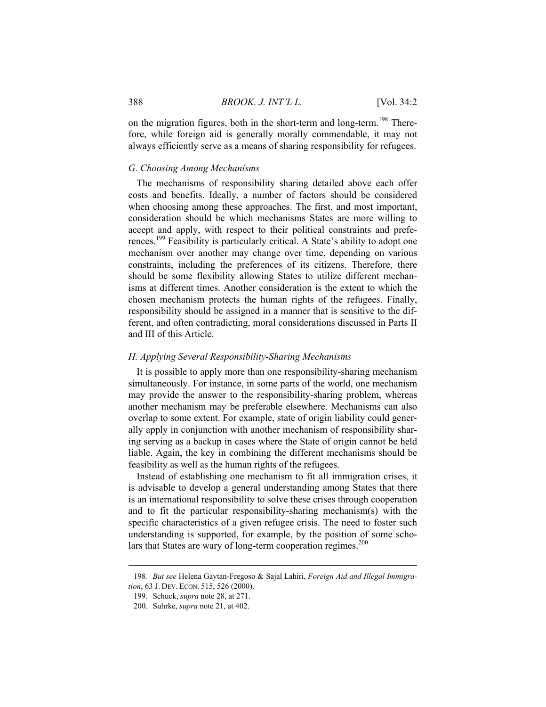on the migration figures, both in the short-term and long-term.<sup>198</sup> Therefore, while foreign aid is generally morally commendable, it may not always efficiently serve as a means of sharing responsibility for refugees.

#### *G. Choosing Among Mechanisms*

The mechanisms of responsibility sharing detailed above each offer costs and benefits. Ideally, a number of factors should be considered when choosing among these approaches. The first, and most important, consideration should be which mechanisms States are more willing to accept and apply, with respect to their political constraints and preferences.<sup>199</sup> Feasibility is particularly critical. A State's ability to adopt one mechanism over another may change over time, depending on various constraints, including the preferences of its citizens. Therefore, there should be some flexibility allowing States to utilize different mechanisms at different times. Another consideration is the extent to which the chosen mechanism protects the human rights of the refugees. Finally, responsibility should be assigned in a manner that is sensitive to the different, and often contradicting, moral considerations discussed in Parts II and III of this Article.

#### *H. Applying Several Responsibility-Sharing Mechanisms*

It is possible to apply more than one responsibility-sharing mechanism simultaneously. For instance, in some parts of the world, one mechanism may provide the answer to the responsibility-sharing problem, whereas another mechanism may be preferable elsewhere. Mechanisms can also overlap to some extent. For example, state of origin liability could generally apply in conjunction with another mechanism of responsibility sharing serving as a backup in cases where the State of origin cannot be held liable. Again, the key in combining the different mechanisms should be feasibility as well as the human rights of the refugees.

Instead of establishing one mechanism to fit all immigration crises, it is advisable to develop a general understanding among States that there is an international responsibility to solve these crises through cooperation and to fit the particular responsibility-sharing mechanism(s) with the specific characteristics of a given refugee crisis. The need to foster such understanding is supported, for example, by the position of some scholars that States are wary of long-term cooperation regimes.<sup>200</sup>

<sup>198</sup>*. But see* Helena Gaytan-Fregoso & Sajal Lahiri, *Foreign Aid and Illegal Immigration*, 63 J. DEV. ECON. 515, 526 (2000).

 <sup>199.</sup> Schuck, *supra* note 28, at 271.

 <sup>200.</sup> Suhrke, *supra* note 21, at 402.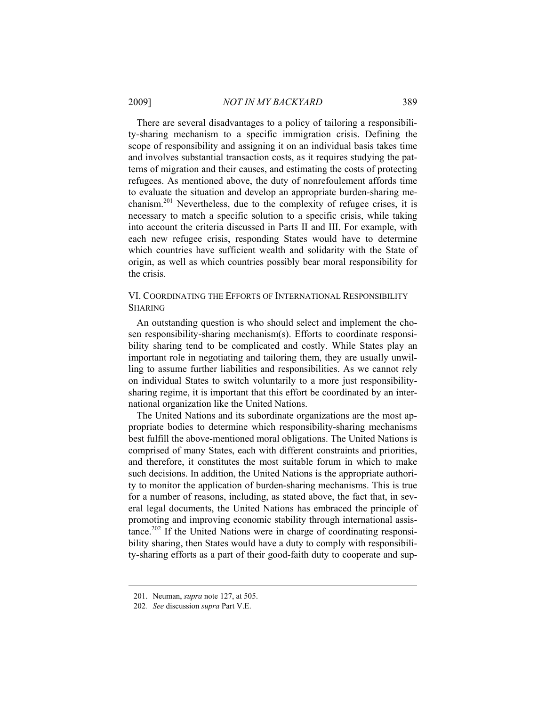There are several disadvantages to a policy of tailoring a responsibility-sharing mechanism to a specific immigration crisis. Defining the scope of responsibility and assigning it on an individual basis takes time and involves substantial transaction costs, as it requires studying the patterns of migration and their causes, and estimating the costs of protecting refugees. As mentioned above, the duty of nonrefoulement affords time to evaluate the situation and develop an appropriate burden-sharing mechanism.<sup>201</sup> Nevertheless, due to the complexity of refugee crises, it is necessary to match a specific solution to a specific crisis, while taking into account the criteria discussed in Parts II and III. For example, with each new refugee crisis, responding States would have to determine which countries have sufficient wealth and solidarity with the State of origin, as well as which countries possibly bear moral responsibility for the crisis.

## VI. COORDINATING THE EFFORTS OF INTERNATIONAL RESPONSIBILITY SHARING

An outstanding question is who should select and implement the chosen responsibility-sharing mechanism(s). Efforts to coordinate responsibility sharing tend to be complicated and costly. While States play an important role in negotiating and tailoring them, they are usually unwilling to assume further liabilities and responsibilities. As we cannot rely on individual States to switch voluntarily to a more just responsibilitysharing regime, it is important that this effort be coordinated by an international organization like the United Nations.

The United Nations and its subordinate organizations are the most appropriate bodies to determine which responsibility-sharing mechanisms best fulfill the above-mentioned moral obligations. The United Nations is comprised of many States, each with different constraints and priorities, and therefore, it constitutes the most suitable forum in which to make such decisions. In addition, the United Nations is the appropriate authority to monitor the application of burden-sharing mechanisms. This is true for a number of reasons, including, as stated above, the fact that, in several legal documents, the United Nations has embraced the principle of promoting and improving economic stability through international assistance.202 If the United Nations were in charge of coordinating responsibility sharing, then States would have a duty to comply with responsibility-sharing efforts as a part of their good-faith duty to cooperate and sup-

 <sup>201.</sup> Neuman, *supra* note 127, at 505.

<sup>202</sup>*. See* discussion *supra* Part V.E.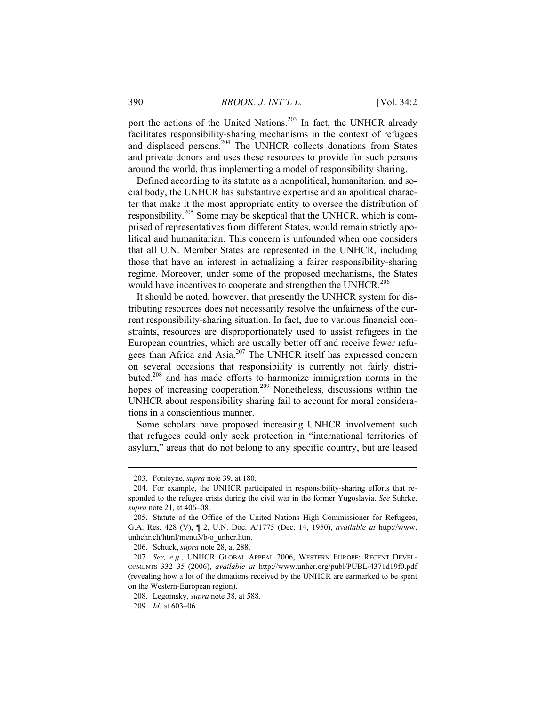port the actions of the United Nations.<sup>203</sup> In fact, the UNHCR already facilitates responsibility-sharing mechanisms in the context of refugees and displaced persons.<sup>204</sup> The UNHCR collects donations from States and private donors and uses these resources to provide for such persons around the world, thus implementing a model of responsibility sharing.

Defined according to its statute as a nonpolitical, humanitarian, and social body, the UNHCR has substantive expertise and an apolitical character that make it the most appropriate entity to oversee the distribution of responsibility.205 Some may be skeptical that the UNHCR, which is comprised of representatives from different States, would remain strictly apolitical and humanitarian. This concern is unfounded when one considers that all U.N. Member States are represented in the UNHCR, including those that have an interest in actualizing a fairer responsibility-sharing regime. Moreover, under some of the proposed mechanisms, the States would have incentives to cooperate and strengthen the UNHCR.<sup>206</sup>

It should be noted, however, that presently the UNHCR system for distributing resources does not necessarily resolve the unfairness of the current responsibility-sharing situation. In fact, due to various financial constraints, resources are disproportionately used to assist refugees in the European countries, which are usually better off and receive fewer refugees than Africa and Asia.<sup>207</sup> The UNHCR itself has expressed concern on several occasions that responsibility is currently not fairly distributed,<sup>208</sup> and has made efforts to harmonize immigration norms in the hopes of increasing cooperation.<sup>209</sup> Nonetheless, discussions within the UNHCR about responsibility sharing fail to account for moral considerations in a conscientious manner.

Some scholars have proposed increasing UNHCR involvement such that refugees could only seek protection in "international territories of asylum," areas that do not belong to any specific country, but are leased

 <sup>203.</sup> Fonteyne, *supra* note 39, at 180.

 <sup>204.</sup> For example, the UNHCR participated in responsibility-sharing efforts that responded to the refugee crisis during the civil war in the former Yugoslavia. *See* Suhrke, *supra* note 21, at 406–08.

 <sup>205.</sup> Statute of the Office of the United Nations High Commissioner for Refugees, G.A. Res. 428 (V), ¶ 2, U.N. Doc. A/1775 (Dec. 14, 1950), *available at* http://www. unhchr.ch/html/menu3/b/o\_unhcr.htm.

 <sup>206.</sup> Schuck, *supra* note 28, at 288.

<sup>207</sup>*. See, e.g.*, UNHCR GLOBAL APPEAL 2006, WESTERN EUROPE: RECENT DEVEL-OPMENTS 332–35 (2006), *available at* http://www.unhcr.org/publ/PUBL/4371d19f0.pdf (revealing how a lot of the donations received by the UNHCR are earmarked to be spent on the Western-European region).

 <sup>208.</sup> Legomsky, *supra* note 38, at 588.

<sup>209</sup>*. Id*. at 603–06.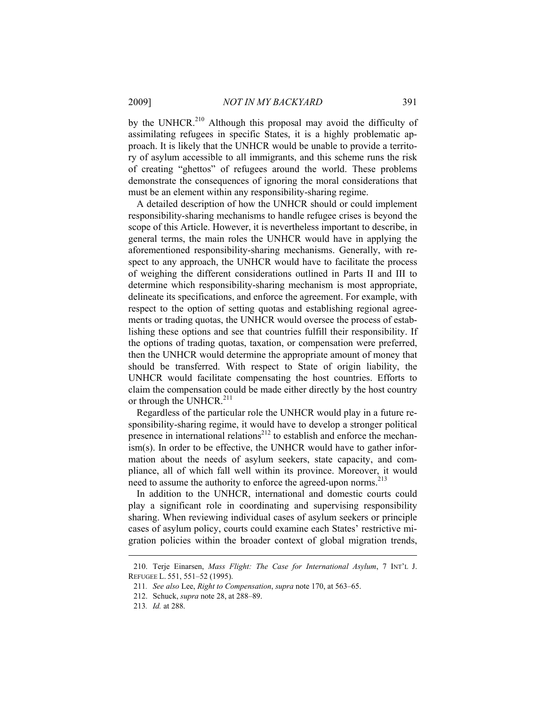by the UNHCR.<sup>210</sup> Although this proposal may avoid the difficulty of assimilating refugees in specific States, it is a highly problematic approach. It is likely that the UNHCR would be unable to provide a territory of asylum accessible to all immigrants, and this scheme runs the risk of creating "ghettos" of refugees around the world. These problems demonstrate the consequences of ignoring the moral considerations that must be an element within any responsibility-sharing regime.

A detailed description of how the UNHCR should or could implement responsibility-sharing mechanisms to handle refugee crises is beyond the scope of this Article. However, it is nevertheless important to describe, in general terms, the main roles the UNHCR would have in applying the aforementioned responsibility-sharing mechanisms. Generally, with respect to any approach, the UNHCR would have to facilitate the process of weighing the different considerations outlined in Parts II and III to determine which responsibility-sharing mechanism is most appropriate, delineate its specifications, and enforce the agreement. For example, with respect to the option of setting quotas and establishing regional agreements or trading quotas, the UNHCR would oversee the process of establishing these options and see that countries fulfill their responsibility. If the options of trading quotas, taxation, or compensation were preferred, then the UNHCR would determine the appropriate amount of money that should be transferred. With respect to State of origin liability, the UNHCR would facilitate compensating the host countries. Efforts to claim the compensation could be made either directly by the host country or through the UNHCR.<sup>211</sup>

Regardless of the particular role the UNHCR would play in a future responsibility-sharing regime, it would have to develop a stronger political presence in international relations<sup>212</sup> to establish and enforce the mechanism(s). In order to be effective, the UNHCR would have to gather information about the needs of asylum seekers, state capacity, and compliance, all of which fall well within its province. Moreover, it would need to assume the authority to enforce the agreed-upon norms.<sup>213</sup>

In addition to the UNHCR, international and domestic courts could play a significant role in coordinating and supervising responsibility sharing. When reviewing individual cases of asylum seekers or principle cases of asylum policy, courts could examine each States' restrictive migration policies within the broader context of global migration trends,

 <sup>210.</sup> Terje Einarsen, *Mass Flight: The Case for International Asylum*, 7 INT'L J. REFUGEE L. 551, 551–52 (1995).

<sup>211</sup>*. See also* Lee, *Right to Compensation*, *supra* note 170, at 563–65.

 <sup>212.</sup> Schuck, *supra* note 28, at 288–89.

<sup>213</sup>*. Id.* at 288.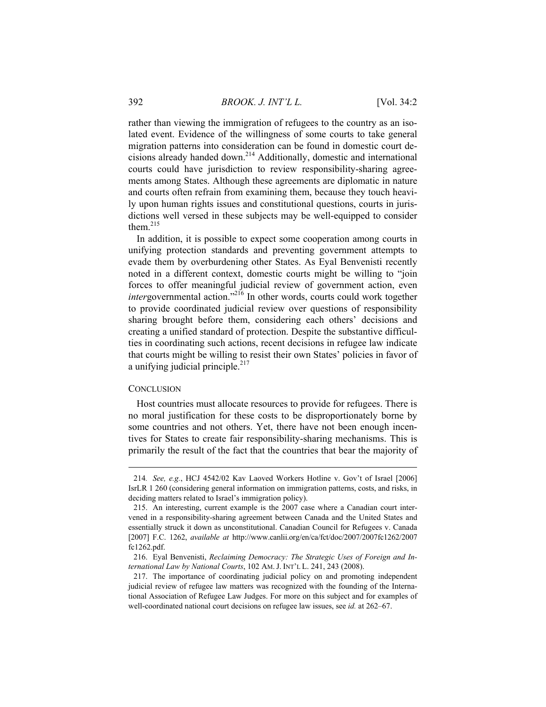rather than viewing the immigration of refugees to the country as an isolated event. Evidence of the willingness of some courts to take general migration patterns into consideration can be found in domestic court decisions already handed down.214 Additionally, domestic and international courts could have jurisdiction to review responsibility-sharing agreements among States. Although these agreements are diplomatic in nature and courts often refrain from examining them, because they touch heavily upon human rights issues and constitutional questions, courts in jurisdictions well versed in these subjects may be well-equipped to consider them.215

In addition, it is possible to expect some cooperation among courts in unifying protection standards and preventing government attempts to evade them by overburdening other States. As Eyal Benvenisti recently noted in a different context, domestic courts might be willing to "join forces to offer meaningful judicial review of government action, even *intergovernmental action.*"<sup>216</sup> In other words, courts could work together to provide coordinated judicial review over questions of responsibility sharing brought before them, considering each others' decisions and creating a unified standard of protection. Despite the substantive difficulties in coordinating such actions, recent decisions in refugee law indicate that courts might be willing to resist their own States' policies in favor of a unifying judicial principle. $217$ 

#### **CONCLUSION**

 $\overline{a}$ 

Host countries must allocate resources to provide for refugees. There is no moral justification for these costs to be disproportionately borne by some countries and not others. Yet, there have not been enough incentives for States to create fair responsibility-sharing mechanisms. This is primarily the result of the fact that the countries that bear the majority of

<sup>214</sup>*. See, e.g.*, HCJ 4542/02 Kav Laoved Workers Hotline v. Gov't of Israel [2006] IsrLR 1 260 (considering general information on immigration patterns, costs, and risks, in deciding matters related to Israel's immigration policy).

 <sup>215.</sup> An interesting, current example is the 2007 case where a Canadian court intervened in a responsibility-sharing agreement between Canada and the United States and essentially struck it down as unconstitutional. Canadian Council for Refugees v. Canada [2007] F.C. 1262, *available at* http://www.canlii.org/en/ca/fct/doc/2007/2007fc1262/2007 fc1262.pdf.

 <sup>216.</sup> Eyal Benvenisti, *Reclaiming Democracy: The Strategic Uses of Foreign and International Law by National Courts*, 102 AM. J. INT'L L. 241, 243 (2008).

 <sup>217.</sup> The importance of coordinating judicial policy on and promoting independent judicial review of refugee law matters was recognized with the founding of the International Association of Refugee Law Judges. For more on this subject and for examples of well-coordinated national court decisions on refugee law issues, see *id.* at 262–67.